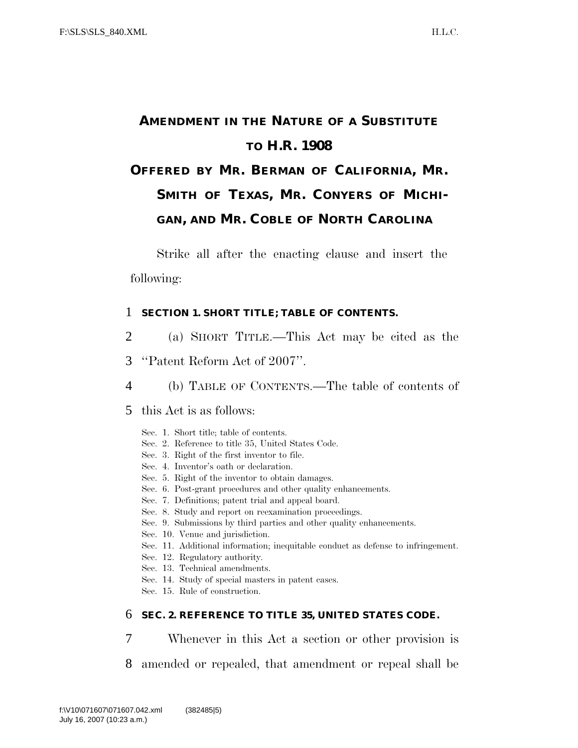# **AMENDMENT IN THE NATURE OF A SUBSTITUTE TO H.R. 1908**

# **OFFERED BY MR. BERMAN OF CALIFORNIA, MR. SMITH OF TEXAS, MR. CONYERS OF MICHI-GAN, AND MR. COBLE OF NORTH CAROLINA**

Strike all after the enacting clause and insert the following:

#### 1 **SECTION 1. SHORT TITLE; TABLE OF CONTENTS.**

- 2 (a) SHORT TITLE.—This Act may be cited as the
- 3 ''Patent Reform Act of 2007''.
- 4 (b) TABLE OF CONTENTS.—The table of contents of
- 5 this Act is as follows:
	- Sec. 1. Short title; table of contents.
	- Sec. 2. Reference to title 35, United States Code.
	- Sec. 3. Right of the first inventor to file.
	- Sec. 4. Inventor's oath or declaration.
	- Sec. 5. Right of the inventor to obtain damages.
	- Sec. 6. Post-grant procedures and other quality enhancements.
	- Sec. 7. Definitions; patent trial and appeal board.
	- Sec. 8. Study and report on reexamination proceedings.
	- Sec. 9. Submissions by third parties and other quality enhancements.
	- Sec. 10. Venue and jurisdiction.
	- Sec. 11. Additional information; inequitable conduct as defense to infringement.
	- Sec. 12. Regulatory authority.
	- Sec. 13. Technical amendments.
	- Sec. 14. Study of special masters in patent cases.
	- Sec. 15. Rule of construction.

#### 6 **SEC. 2. REFERENCE TO TITLE 35, UNITED STATES CODE.**

- 7 Whenever in this Act a section or other provision is
- 8 amended or repealed, that amendment or repeal shall be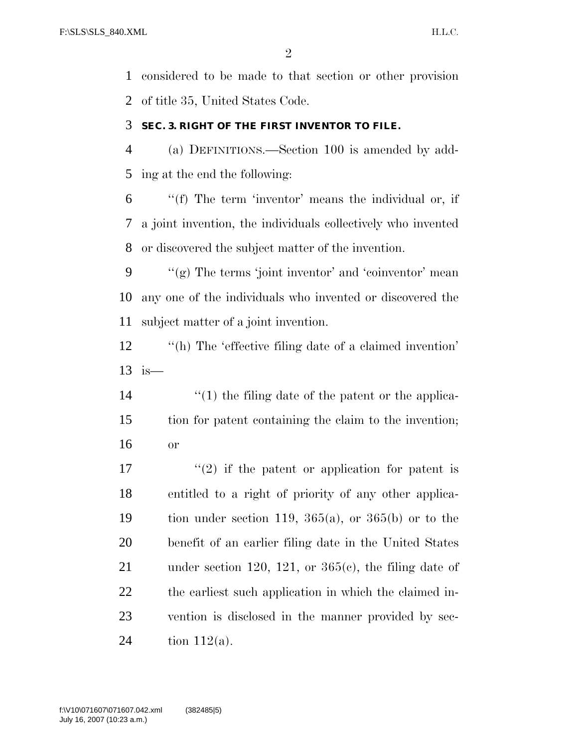considered to be made to that section or other provision of title 35, United States Code.

#### **SEC. 3. RIGHT OF THE FIRST INVENTOR TO FILE.**

 (a) DEFINITIONS.—Section 100 is amended by add-ing at the end the following:

 ''(f) The term 'inventor' means the individual or, if a joint invention, the individuals collectively who invented or discovered the subject matter of the invention.

9  $\langle \langle \mathbf{g} \rangle$  The terms 'joint inventor' and 'coinventor' mean any one of the individuals who invented or discovered the subject matter of a joint invention.

12 "(h) The 'effective filing date of a claimed invention' is—

14 ''(1) the filing date of the patent or the applica- tion for patent containing the claim to the invention; or

 $\frac{17}{2}$  if the patent or application for patent is entitled to a right of priority of any other applica-19 tion under section 119,  $365(a)$ , or  $365(b)$  or to the benefit of an earlier filing date in the United States 21 under section 120, 121, or  $365(c)$ , the filing date of the earliest such application in which the claimed in- vention is disclosed in the manner provided by sec-24 tion  $112(a)$ .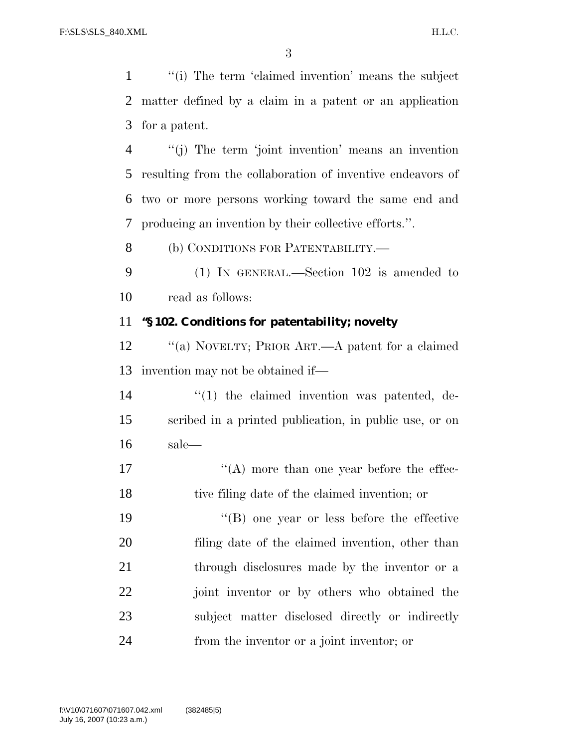''(i) The term 'claimed invention' means the subject matter defined by a claim in a patent or an application for a patent.

 ''(j) The term 'joint invention' means an invention resulting from the collaboration of inventive endeavors of two or more persons working toward the same end and producing an invention by their collective efforts.''.

(b) CONDITIONS FOR PATENTABILITY.—

 (1) IN GENERAL.—Section 102 is amended to read as follows:

#### **''§ 102. Conditions for patentability; novelty**

 ''(a) NOVELTY; PRIOR ART.—A patent for a claimed invention may not be obtained if—

14  $\frac{1}{2}$  (1) the claimed invention was patented, de- scribed in a printed publication, in public use, or on sale—

17 ''(A) more than one year before the effec-tive filing date of the claimed invention; or

 ''(B) one year or less before the effective filing date of the claimed invention, other than 21 through disclosures made by the inventor or a joint inventor or by others who obtained the subject matter disclosed directly or indirectly from the inventor or a joint inventor; or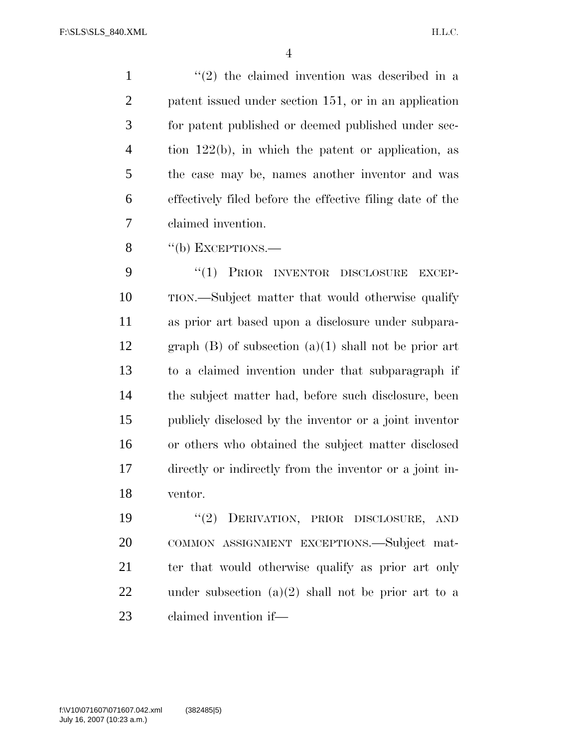$\frac{1}{2}$  ''(2) the claimed invention was described in a patent issued under section 151, or in an application for patent published or deemed published under sec- tion 122(b), in which the patent or application, as the case may be, names another inventor and was effectively filed before the effective filing date of the claimed invention.

8 "(b) EXCEPTIONS.—

 ''(1) PRIOR INVENTOR DISCLOSURE EXCEP- TION.—Subject matter that would otherwise qualify as prior art based upon a disclosure under subpara-12 graph  $(B)$  of subsection  $(a)(1)$  shall not be prior art to a claimed invention under that subparagraph if the subject matter had, before such disclosure, been publicly disclosed by the inventor or a joint inventor or others who obtained the subject matter disclosed directly or indirectly from the inventor or a joint in-ventor.

 ''(2) DERIVATION, PRIOR DISCLOSURE, AND COMMON ASSIGNMENT EXCEPTIONS.—Subject mat-21 ter that would otherwise qualify as prior art only under subsection (a)(2) shall not be prior art to a claimed invention if—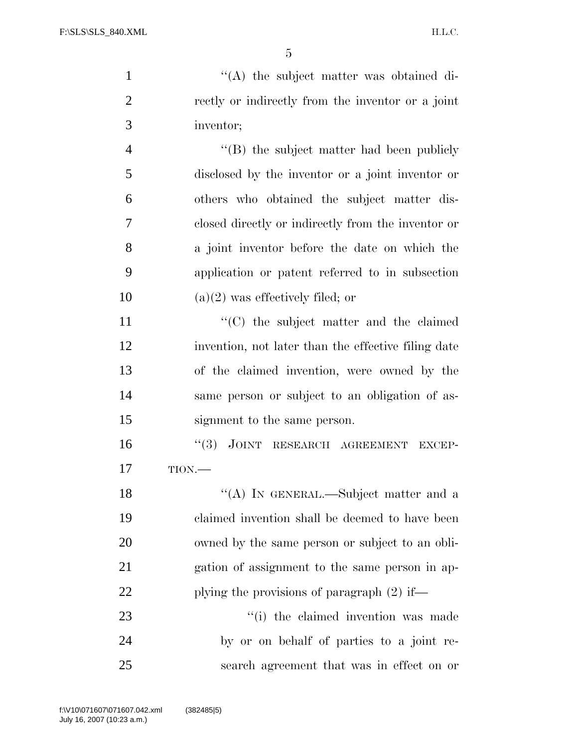$\langle (A)$  the subject matter was obtained di- rectly or indirectly from the inventor or a joint inventor; 4 ''(B) the subject matter had been publicly disclosed by the inventor or a joint inventor or others who obtained the subject matter dis- closed directly or indirectly from the inventor or a joint inventor before the date on which the application or patent referred to in subsection 10 (a)(2) was effectively filed; or  $\langle ^{\prime}(C) \rangle$  the subject matter and the claimed invention, not later than the effective filing date of the claimed invention, were owned by the same person or subject to an obligation of as- signment to the same person. 16 "(3) JOINT RESEARCH AGREEMENT EXCEP-17 TION.— 18 "(A) IN GENERAL.—Subject matter and a claimed invention shall be deemed to have been owned by the same person or subject to an obli- gation of assignment to the same person in ap-22 plying the provisions of paragraph (2) if—  $\cdot$  (i) the claimed invention was made by or on behalf of parties to a joint re-search agreement that was in effect on or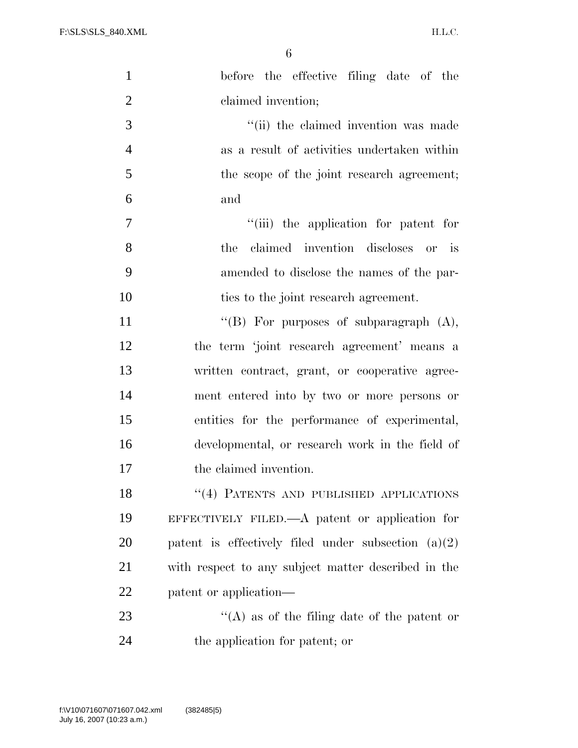H.L.C.

| $\mathbf{1}$   | before the effective filing date of the               |
|----------------|-------------------------------------------------------|
| $\overline{2}$ | claimed invention;                                    |
| 3              | "(ii) the claimed invention was made                  |
| $\overline{4}$ | as a result of activities undertaken within           |
| 5              | the scope of the joint research agreement;            |
| 6              | and                                                   |
| 7              | "(iii) the application for patent for                 |
| 8              | claimed invention discloses or is<br>the              |
| 9              | amended to disclose the names of the par-             |
| 10             | ties to the joint research agreement.                 |
| 11             | "(B) For purposes of subparagraph $(A)$ ,             |
| 12             | the term 'joint research agreement' means a           |
| 13             | written contract, grant, or cooperative agree-        |
| 14             | ment entered into by two or more persons or           |
| 15             | entities for the performance of experimental,         |
| 16             | developmental, or research work in the field of       |
| 17             | the claimed invention.                                |
| 18             | "(4) PATENTS AND PUBLISHED APPLICATIONS               |
| 19             | EFFECTIVELY FILED.— $A$ patent or application for     |
| 20             | patent is effectively filed under subsection $(a)(2)$ |
| 21             | with respect to any subject matter described in the   |
| 22             | patent or application—                                |
| 23             | "(A) as of the filing date of the patent or           |
| 24             | the application for patent; or                        |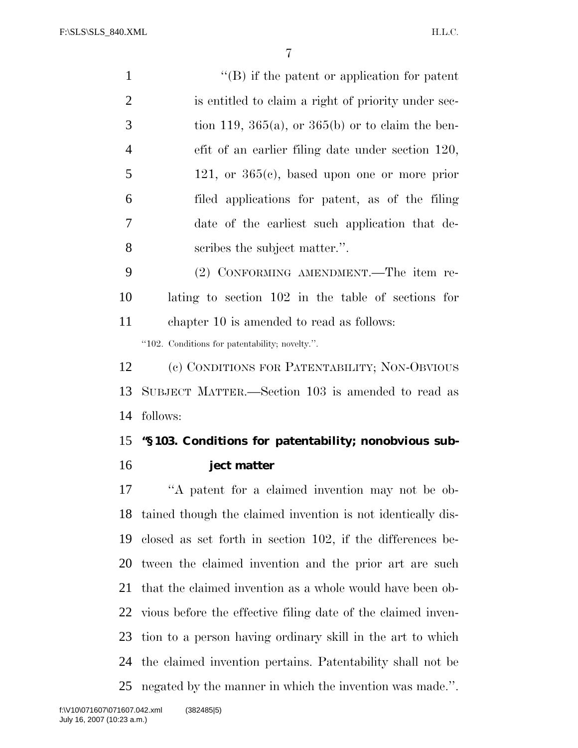$\langle ^{\prime}(B)$  if the patent or application for patent is entitled to claim a right of priority under sec- $3 \text{ tion } 119, 365(a), \text{ or } 365(b) \text{ or to claim the ben-}$  efit of an earlier filing date under section 120,  $5 \t 121$ , or  $365(c)$ , based upon one or more prior filed applications for patent, as of the filing date of the earliest such application that de- scribes the subject matter.''. (2) CONFORMING AMENDMENT.—The item re- lating to section 102 in the table of sections for chapter 10 is amended to read as follows: ''102. Conditions for patentability; novelty.''. (c) CONDITIONS FOR PATENTABILITY; NON-OBVIOUS SUBJECT MATTER.—Section 103 is amended to read as follows: **''§ 103. Conditions for patentability; nonobvious sub- ject matter**  ''A patent for a claimed invention may not be ob- tained though the claimed invention is not identically dis- closed as set forth in section 102, if the differences be- tween the claimed invention and the prior art are such that the claimed invention as a whole would have been ob-vious before the effective filing date of the claimed inven-

tion to a person having ordinary skill in the art to which

the claimed invention pertains. Patentability shall not be

negated by the manner in which the invention was made.''.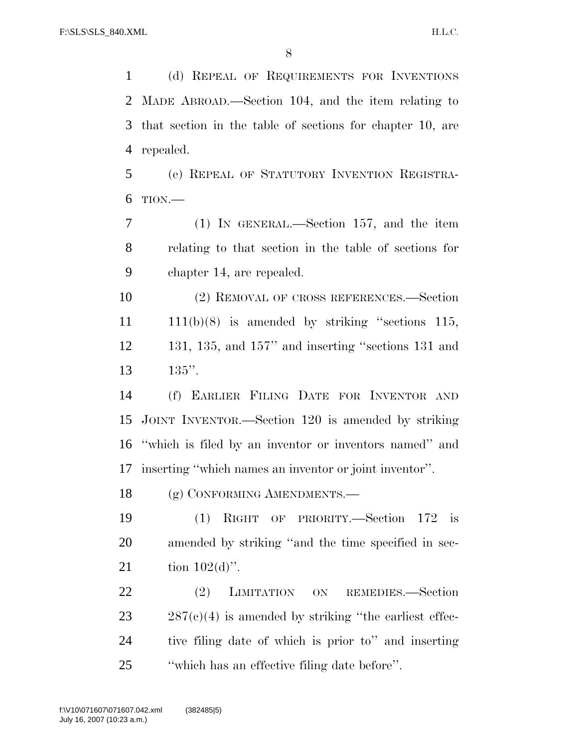(d) REPEAL OF REQUIREMENTS FOR INVENTIONS MADE ABROAD.—Section 104, and the item relating to that section in the table of sections for chapter 10, are repealed.

 (e) REPEAL OF STATUTORY INVENTION REGISTRA-TION.—

 (1) IN GENERAL.—Section 157, and the item relating to that section in the table of sections for chapter 14, are repealed.

 (2) REMOVAL OF CROSS REFERENCES.—Section  $11 \quad 111(b)(8)$  is amended by striking "sections 115, 131, 135, and 157'' and inserting ''sections 131 and 135''.

 (f) EARLIER FILING DATE FOR INVENTOR AND JOINT INVENTOR.—Section 120 is amended by striking ''which is filed by an inventor or inventors named'' and inserting ''which names an inventor or joint inventor''.

18 (g) CONFORMING AMENDMENTS.

 (1) RIGHT OF PRIORITY.—Section 172 is amended by striking ''and the time specified in sec-21 tion  $102(d)$ ".

22 (2) LIMITATION ON REMEDIES.—Section  $23 \qquad 287(c)(4)$  is amended by striking "the earliest effec- tive filing date of which is prior to'' and inserting ''which has an effective filing date before''.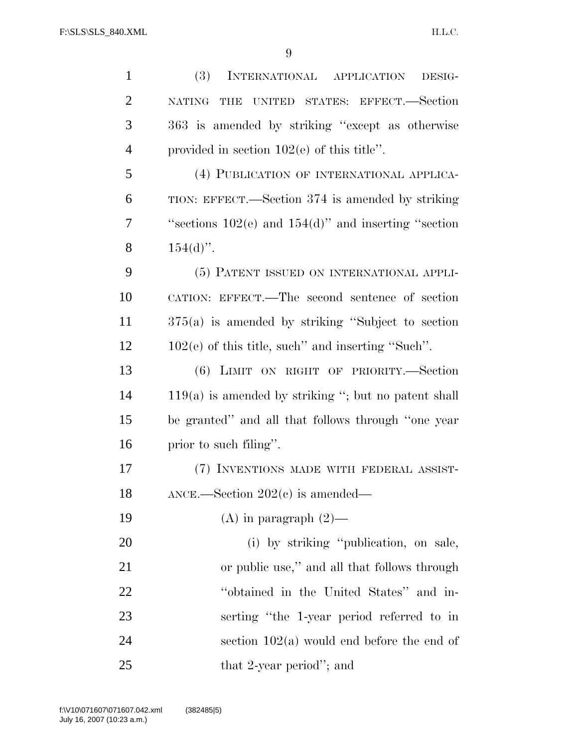(3) INTERNATIONAL APPLICATION DESIG- NATING THE UNITED STATES: EFFECT.—Section 363 is amended by striking ''except as otherwise provided in section 102(e) of this title''. (4) PUBLICATION OF INTERNATIONAL APPLICA- TION: EFFECT.—Section 374 is amended by striking ''sections 102(e) and 154(d)'' and inserting ''section 8  $154(d)$ ". (5) PATENT ISSUED ON INTERNATIONAL APPLI- CATION: EFFECT.—The second sentence of section 375(a) is amended by striking ''Subject to section 102(e) of this title, such'' and inserting ''Such''. (6) LIMIT ON RIGHT OF PRIORITY.—Section 119(a) is amended by striking ''; but no patent shall be granted'' and all that follows through ''one year prior to such filing''. (7) INVENTIONS MADE WITH FEDERAL ASSIST- ANCE.—Section 202(c) is amended—  $(A)$  in paragraph  $(2)$ — 20 (i) by striking "publication, on sale, or public use,'' and all that follows through 22 ''obtained in the United States'' and in- serting ''the 1-year period referred to in 24 section  $102(a)$  would end before the end of 25 that 2-year period"; and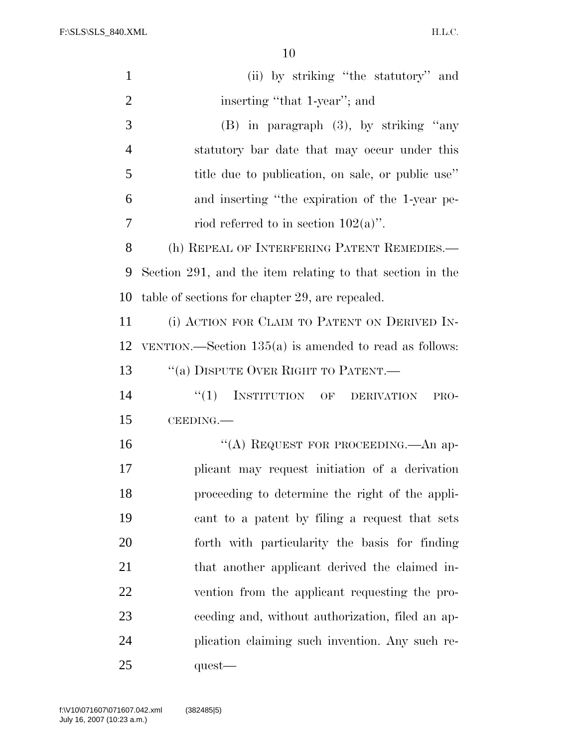H.L.C.

| $\mathbf{1}$   | (ii) by striking "the statutory" and                      |
|----------------|-----------------------------------------------------------|
| $\overline{2}$ | inserting "that 1-year"; and                              |
| 3              | $(B)$ in paragraph $(3)$ , by striking "any               |
| $\overline{4}$ | statutory bar date that may occur under this              |
| 5              | title due to publication, on sale, or public use"         |
| 6              | and inserting "the expiration of the 1-year pe-           |
| 7              | riod referred to in section $102(a)$ ".                   |
| 8              | (h) REPEAL OF INTERFERING PATENT REMEDIES.—               |
| 9              | Section 291, and the item relating to that section in the |
| 10             | table of sections for chapter 29, are repealed.           |
| 11             | (i) ACTION FOR CLAIM TO PATENT ON DERIVED IN-             |
| 12             | VENTION.—Section $135(a)$ is amended to read as follows:  |
| 13             | "(a) DISPUTE OVER RIGHT TO PATENT.—                       |
| 14             | INSTITUTION OF DERIVATION<br>``(1)<br>PRO-                |
| 15             | CEEDING.                                                  |
| 16             | "(A) REQUEST FOR PROCEEDING.—An ap-                       |
| 17             | plicant may request initiation of a derivation            |
| 18             | proceeding to determine the right of the appli-           |
| 19             | cant to a patent by filing a request that sets            |
| 20             | forth with particularity the basis for finding            |
| 21             | that another applicant derived the claimed in-            |
| 22             | vention from the applicant requesting the pro-            |
| 23             | ceeding and, without authorization, filed an ap-          |
| 24             | plication claiming such invention. Any such re-           |
| 25             | $quest$ —                                                 |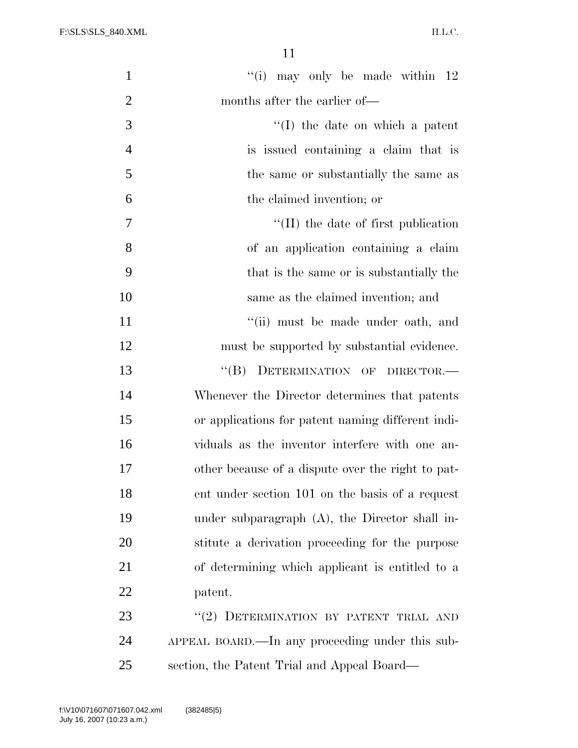H.L.C.

| $\mathbf{1}$   | "(i) may only be made within $12$                 |
|----------------|---------------------------------------------------|
| $\overline{2}$ | months after the earlier of—                      |
| 3              | $\lq (I)$ the date on which a patent              |
| $\overline{4}$ | is issued containing a claim that is              |
| 5              | the same or substantially the same as             |
| 6              | the claimed invention; or                         |
| 7              | $\lq$ (II) the date of first publication          |
| 8              | of an application containing a claim              |
| 9              | that is the same or is substantially the          |
| 10             | same as the claimed invention; and                |
| 11             | "(ii) must be made under oath, and                |
| 12             | must be supported by substantial evidence.        |
| 13             | DETERMINATION OF DIRECTOR.-<br>$\lq\lq (B)$       |
| 14             | Whenever the Director determines that patents     |
| 15             | or applications for patent naming different indi- |
| 16             | viduals as the inventor interfere with one an-    |
| 17             | other because of a dispute over the right to pat- |
| 18             | ent under section 101 on the basis of a request   |
| 19             | under subparagraph (A), the Director shall in-    |
| 20             | stitute a derivation proceeding for the purpose   |
| 21             | of determining which applicant is entitled to a   |
| 22             | patent.                                           |
| 23             | "(2) DETERMINATION BY PATENT TRIAL AND            |
| 24             | APPEAL BOARD.—In any proceeding under this sub-   |
| 25             | section, the Patent Trial and Appeal Board—       |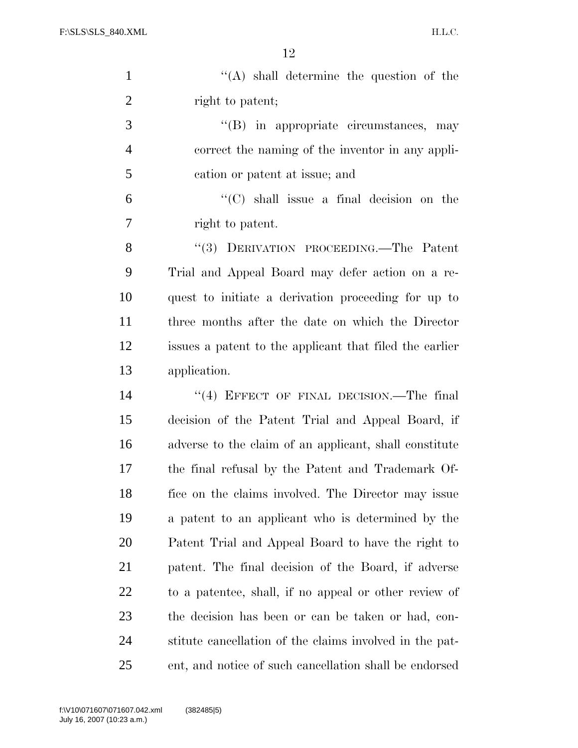H.L.C.

| $\mathbf{1}$   | $\lq\lq$ shall determine the question of the            |
|----------------|---------------------------------------------------------|
| $\overline{2}$ | right to patent;                                        |
| 3              | "(B) in appropriate circumstances, may                  |
| $\overline{4}$ | correct the naming of the inventor in any appli-        |
| 5              | cation or patent at issue; and                          |
| 6              | $\lq\lq$ (C) shall issue a final decision on the        |
| 7              | right to patent.                                        |
| 8              | "(3) DERIVATION PROCEEDING.—The Patent                  |
| 9              | Trial and Appeal Board may defer action on a re-        |
| 10             | quest to initiate a derivation proceeding for up to     |
| 11             | three months after the date on which the Director       |
| 12             | issues a patent to the applicant that filed the earlier |
| 13             | application.                                            |
| 14             | $(4)$ EFFECT OF FINAL DECISION.—The final               |
| 15             | decision of the Patent Trial and Appeal Board, if       |
| 16             | adverse to the claim of an applicant, shall constitute  |
| 17             | the final refusal by the Patent and Trademark Of-       |
| 18             | fice on the claims involved. The Director may issue     |
| 19             | a patent to an applicant who is determined by the       |
| 20             | Patent Trial and Appeal Board to have the right to      |
| 21             | patent. The final decision of the Board, if adverse     |
| 22             | to a patentee, shall, if no appeal or other review of   |
| 23             | the decision has been or can be taken or had, con-      |
| 24             | stitute cancellation of the claims involved in the pat- |
| 25             | ent, and notice of such cancellation shall be endorsed  |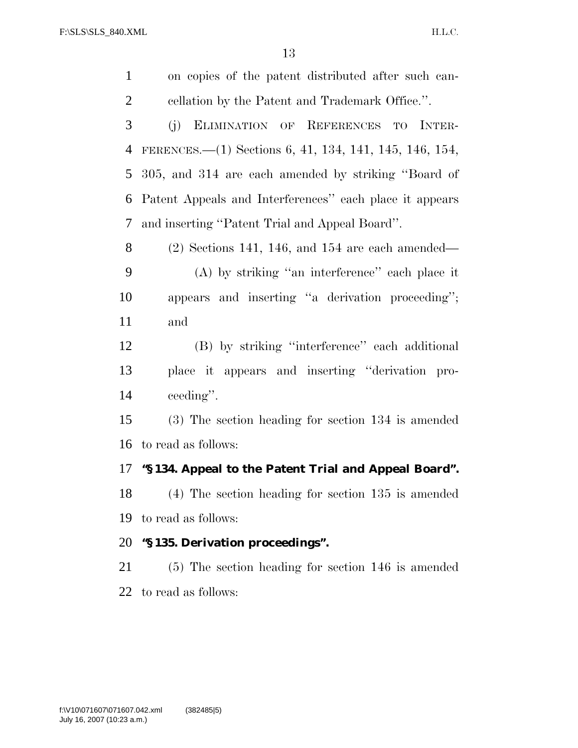| $\mathbf{1}$   | on copies of the patent distributed after such can-     |
|----------------|---------------------------------------------------------|
| $\overline{2}$ | cellation by the Patent and Trademark Office.".         |
| 3              | ELIMINATION OF REFERENCES TO INTER-<br>(j)              |
| 4              | FERENCES.—(1) Sections 6, 41, 134, 141, 145, 146, 154,  |
| 5              | 305, and 314 are each amended by striking "Board of     |
| 6              | Patent Appeals and Interferences" each place it appears |
| 7              | and inserting "Patent Trial and Appeal Board".          |
| 8              | $(2)$ Sections 141, 146, and 154 are each amended—      |
| 9              | $(A)$ by striking "an interference" each place it       |
| 10             | appears and inserting "a derivation proceeding";        |
| 11             | and                                                     |
| 12             | (B) by striking "interference" each additional          |
| 13             | place it appears and inserting "derivation pro-         |
| 14             | ceeding".                                               |
| 15             | $(3)$ The section heading for section 134 is amended    |
| 16             | to read as follows:                                     |
| 17             | "§134. Appeal to the Patent Trial and Appeal Board".    |
| 18             | $(4)$ The section heading for section 135 is amended    |
| 19             | to read as follows:                                     |
| 20             | "§135. Derivation proceedings".                         |
| 21             | $(5)$ The section heading for section 146 is amended    |
|                | 22 to read as follows:                                  |
|                |                                                         |
|                |                                                         |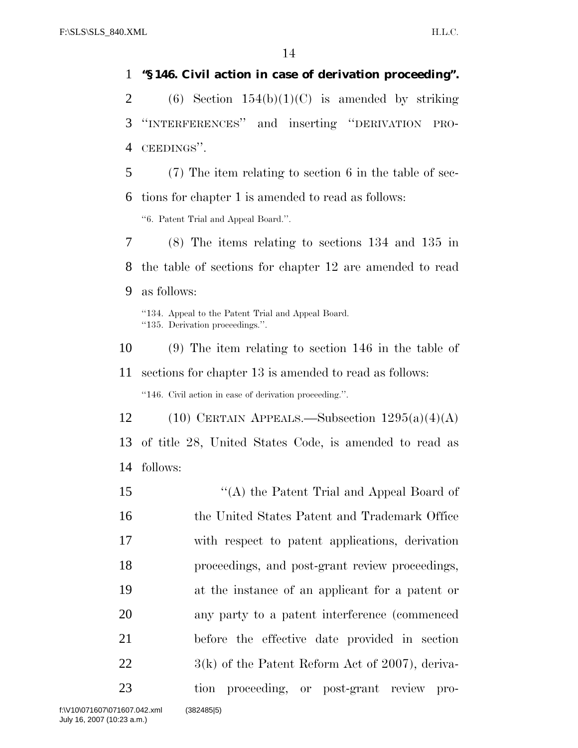## **''§ 146. Civil action in case of derivation proceeding''.**

2 (6) Section  $154(b)(1)(C)$  is amended by striking ''INTERFERENCES'' and inserting ''DERIVATION PRO-CEEDINGS''.

(7) The item relating to section 6 in the table of sec-

 tions for chapter 1 is amended to read as follows: ''6. Patent Trial and Appeal Board.''.

 (8) The items relating to sections 134 and 135 in the table of sections for chapter 12 are amended to read as follows:

''134. Appeal to the Patent Trial and Appeal Board. ''135. Derivation proceedings.''.

(9) The item relating to section 146 in the table of

sections for chapter 13 is amended to read as follows:

''146. Civil action in case of derivation proceeding.''.

12 (10) CERTAIN APPEALS.—Subsection  $1295(a)(4)(A)$  of title 28, United States Code, is amended to read as follows:

15 "(A) the Patent Trial and Appeal Board of the United States Patent and Trademark Office with respect to patent applications, derivation proceedings, and post-grant review proceedings, at the instance of an applicant for a patent or any party to a patent interference (commenced before the effective date provided in section 22 3(k) of the Patent Reform Act of 2007), deriva-tion proceeding, or post-grant review pro-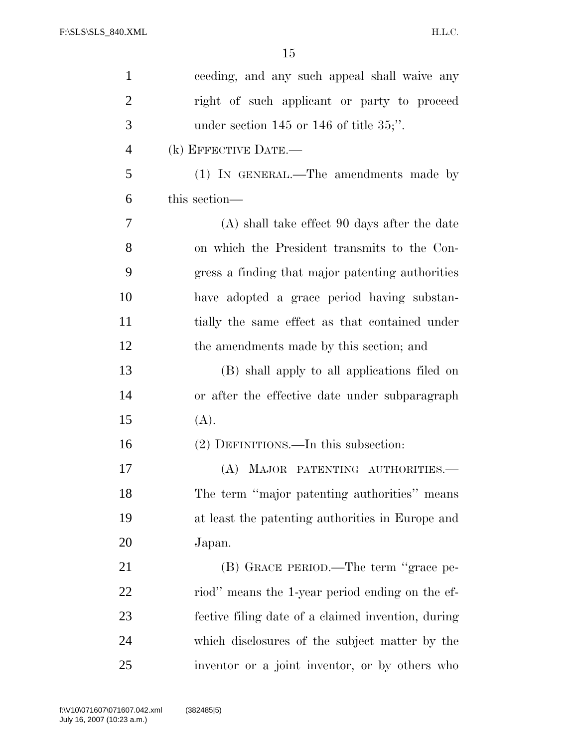| $\mathbf{1}$   | ceeding, and any such appeal shall waive any       |
|----------------|----------------------------------------------------|
| $\overline{2}$ | right of such applicant or party to proceed        |
| 3              | under section $145$ or $146$ of title $35$ ;".     |
| $\overline{4}$ | (k) EFFECTIVE DATE.-                               |
| 5              | (1) IN GENERAL.—The amendments made by             |
| 6              | this section—                                      |
| 7              | (A) shall take effect 90 days after the date       |
| 8              | on which the President transmits to the Con-       |
| 9              | gress a finding that major patenting authorities   |
| 10             | have adopted a grace period having substan-        |
| 11             | tially the same effect as that contained under     |
| 12             | the amendments made by this section; and           |
| 13             | (B) shall apply to all applications filed on       |
| 14             | or after the effective date under subparagraph     |
| 15             | (A).                                               |
| 16             | (2) DEFINITIONS.—In this subsection:               |
| 17             | (A) MAJOR PATENTING AUTHORITIES.                   |
| 18             | The term "major patenting authorities" means       |
| 19             | at least the patenting authorities in Europe and   |
| 20             | Japan.                                             |
| 21             | (B) GRACE PERIOD.—The term "grace pe-              |
| 22             | riod" means the 1-year period ending on the ef-    |
| 23             | fective filing date of a claimed invention, during |
| 24             | which disclosures of the subject matter by the     |
| 25             | inventor or a joint inventor, or by others who     |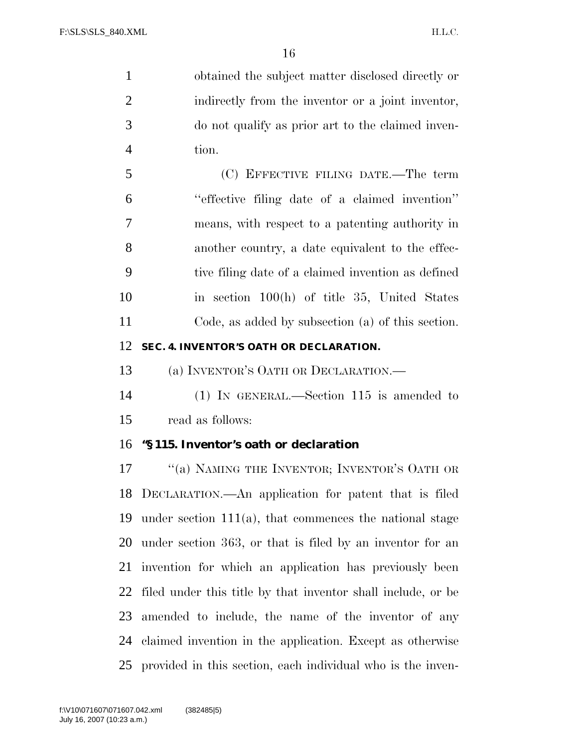obtained the subject matter disclosed directly or indirectly from the inventor or a joint inventor, do not qualify as prior art to the claimed inven-tion.

 (C) EFFECTIVE FILING DATE.—The term ''effective filing date of a claimed invention'' means, with respect to a patenting authority in another country, a date equivalent to the effec- tive filing date of a claimed invention as defined in section 100(h) of title 35, United States Code, as added by subsection (a) of this section.

#### **SEC. 4. INVENTOR'S OATH OR DECLARATION.**

(a) INVENTOR'S OATH OR DECLARATION.—

 (1) IN GENERAL.—Section 115 is amended to read as follows:

# **''§ 115. Inventor's oath or declaration**

17 ""(a) NAMING THE INVENTOR; INVENTOR'S OATH OR DECLARATION.—An application for patent that is filed under section 111(a), that commences the national stage under section 363, or that is filed by an inventor for an invention for which an application has previously been filed under this title by that inventor shall include, or be amended to include, the name of the inventor of any claimed invention in the application. Except as otherwise provided in this section, each individual who is the inven-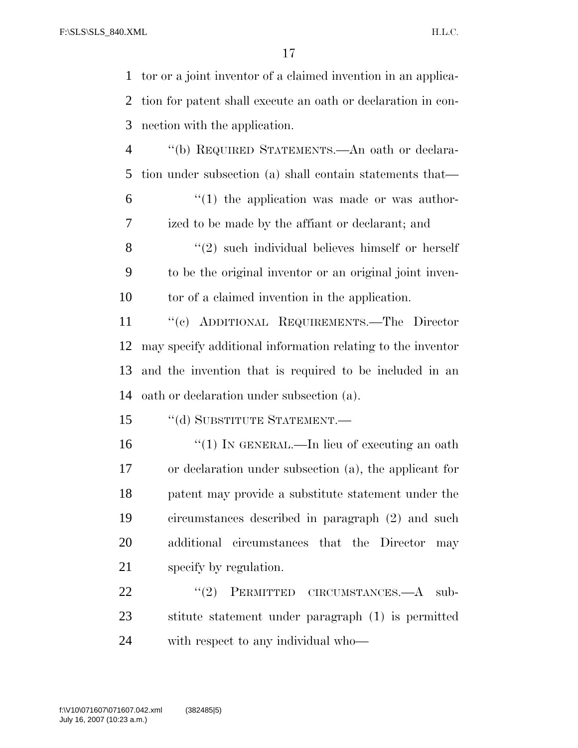tor or a joint inventor of a claimed invention in an applica- tion for patent shall execute an oath or declaration in con-nection with the application.

 ''(b) REQUIRED STATEMENTS.—An oath or declara-tion under subsection (a) shall contain statements that—

 $(1)$  the application was made or was author-ized to be made by the affiant or declarant; and

8 "(2) such individual believes himself or herself to be the original inventor or an original joint inven-tor of a claimed invention in the application.

 ''(c) ADDITIONAL REQUIREMENTS.—The Director may specify additional information relating to the inventor and the invention that is required to be included in an oath or declaration under subsection (a).

15 "(d) SUBSTITUTE STATEMENT.—

16 "(1) IN GENERAL.—In lieu of executing an oath or declaration under subsection (a), the applicant for patent may provide a substitute statement under the circumstances described in paragraph (2) and such additional circumstances that the Director may specify by regulation.

22 "(2) PERMITTED CIRCUMSTANCES.—A sub- stitute statement under paragraph (1) is permitted with respect to any individual who—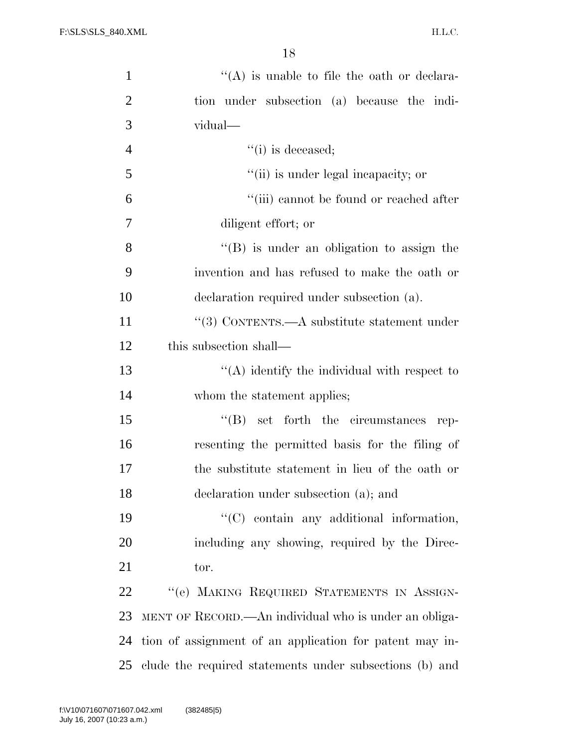| $\mathbf{1}$   | $\lq\lq$ is unable to file the oath or declara-         |
|----------------|---------------------------------------------------------|
| $\overline{2}$ | tion under subsection (a) because the indi-             |
| 3              | vidual—                                                 |
| $\overline{4}$ | $``(i)$ is deceased;                                    |
| 5              | "(ii) is under legal incapacity; or                     |
| 6              | "(iii) cannot be found or reached after                 |
| 7              | diligent effort; or                                     |
| 8              | "(B) is under an obligation to assign the               |
| 9              | invention and has refused to make the oath or           |
| 10             | declaration required under subsection (a).              |
| 11             | "(3) CONTENTS.—A substitute statement under             |
| 12             | this subsection shall—                                  |
| 13             | $\lq\lq$ identify the individual with respect to        |
| 14             | whom the statement applies;                             |
| 15             | $\lq\lq (B)$ set forth the circumstances rep-           |
| 16             | resenting the permitted basis for the filing of         |
| 17             | the substitute statement in lieu of the oath or         |
| 18             | declaration under subsection (a); and                   |
| 19             | $\lq\lq$ contain any additional information,            |
| 20             | including any showing, required by the Direc-           |
| 21             | tor.                                                    |
| 22             | "(e) MAKING REQUIRED STATEMENTS IN ASSIGN-              |
| 23             | MENT OF RECORD.—An individual who is under an obliga-   |
| 24             | tion of assignment of an application for patent may in- |
| 25             | clude the required statements under subsections (b) and |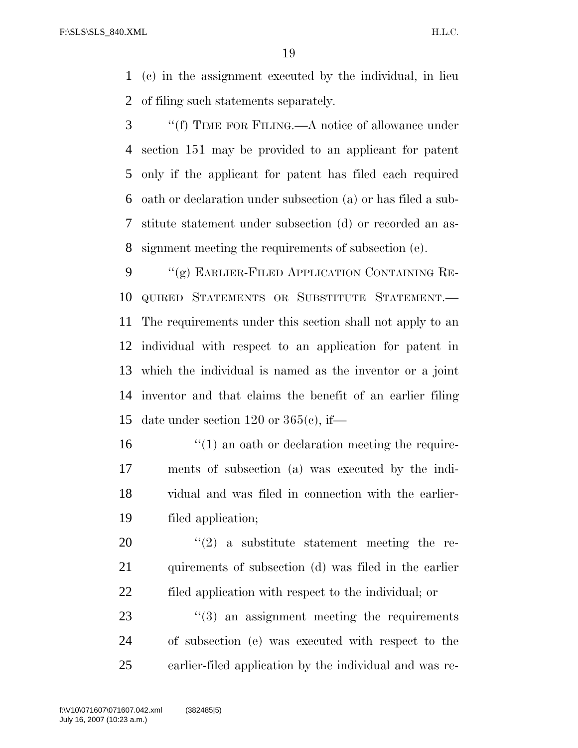(c) in the assignment executed by the individual, in lieu of filing such statements separately.

 ''(f) TIME FOR FILING.—A notice of allowance under section 151 may be provided to an applicant for patent only if the applicant for patent has filed each required oath or declaration under subsection (a) or has filed a sub- stitute statement under subsection (d) or recorded an as-signment meeting the requirements of subsection (e).

9 "(g) EARLIER-FILED APPLICATION CONTAINING RE- QUIRED STATEMENTS OR SUBSTITUTE STATEMENT.— The requirements under this section shall not apply to an individual with respect to an application for patent in which the individual is named as the inventor or a joint inventor and that claims the benefit of an earlier filing date under section 120 or 365(c), if—

16 ''(1) an oath or declaration meeting the require- ments of subsection (a) was executed by the indi- vidual and was filed in connection with the earlier-filed application;

20  $(2)$  a substitute statement meeting the re- quirements of subsection (d) was filed in the earlier filed application with respect to the individual; or

23  $\frac{1}{2}$  (3) an assignment meeting the requirements of subsection (e) was executed with respect to the earlier-filed application by the individual and was re-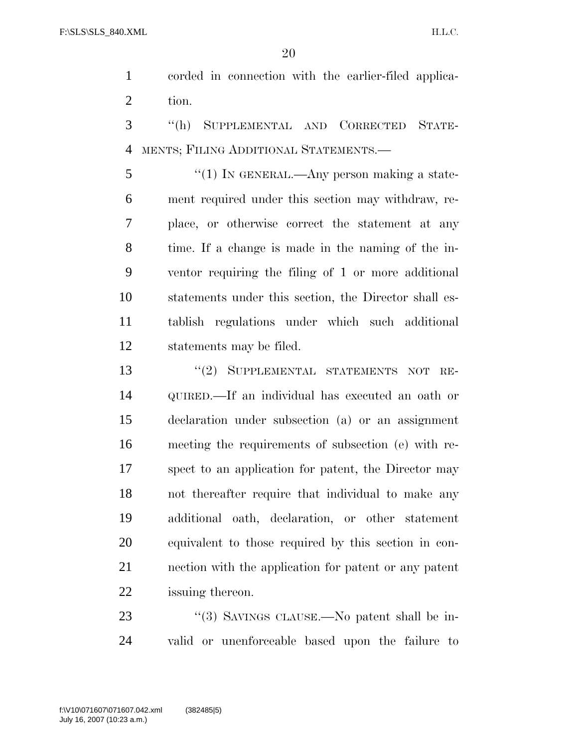corded in connection with the earlier-filed applica-tion.

 ''(h) SUPPLEMENTAL AND CORRECTED STATE-MENTS; FILING ADDITIONAL STATEMENTS.—

5 "(1) In GENERAL.—Any person making a state- ment required under this section may withdraw, re- place, or otherwise correct the statement at any time. If a change is made in the naming of the in- ventor requiring the filing of 1 or more additional statements under this section, the Director shall es- tablish regulations under which such additional statements may be filed.

13 "(2) SUPPLEMENTAL STATEMENTS NOT RE- QUIRED.—If an individual has executed an oath or declaration under subsection (a) or an assignment meeting the requirements of subsection (e) with re- spect to an application for patent, the Director may not thereafter require that individual to make any additional oath, declaration, or other statement equivalent to those required by this section in con- nection with the application for patent or any patent issuing thereon.

23 "(3) SAVINGS CLAUSE.—No patent shall be in-valid or unenforceable based upon the failure to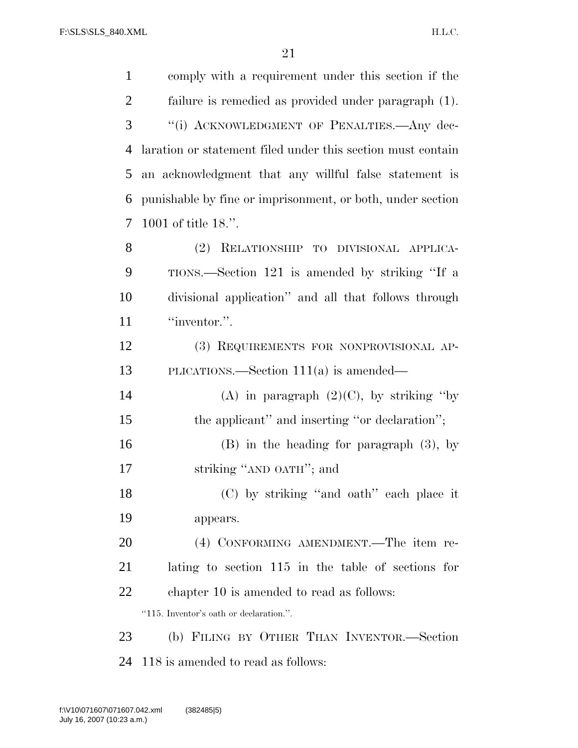| $\mathbf{1}$   | comply with a requirement under this section if the         |
|----------------|-------------------------------------------------------------|
| $\overline{2}$ | failure is remedied as provided under paragraph (1).        |
| 3              | "(i) ACKNOWLEDGMENT OF PENALTIES.- Any dec-                 |
| 4              | laration or statement filed under this section must contain |
| 5              | an acknowledgment that any willful false statement is       |
| 6              | punishable by fine or imprisonment, or both, under section  |
| 7              | 1001 of title 18.".                                         |
| 8              | (2)<br>RELATIONSHIP TO DIVISIONAL APPLICA-                  |
| 9              | TIONS.—Section 121 is amended by striking "If a             |
| 10             | divisional application" and all that follows through        |
| 11             | "inventor.".                                                |
| 12             | (3) REQUIREMENTS FOR NONPROVISIONAL AP-                     |
| 13             | PLICATIONS.—Section $111(a)$ is amended—                    |
| 14             | (A) in paragraph $(2)(C)$ , by striking "by                 |
| 15             | the applicant" and inserting "or declaration";              |
| 16             | $(B)$ in the heading for paragraph $(3)$ , by               |
| 17             | striking "AND OATH"; and                                    |
| 18             | (C) by striking "and oath" each place it                    |
| 19             | appears.                                                    |
| 20             | (4) CONFORMING AMENDMENT.—The item re-                      |
| 21             | lating to section 115 in the table of sections for          |
| 22             | chapter 10 is amended to read as follows:                   |
|                | "115. Inventor's oath or declaration.".                     |
| 23             | (b) FILING BY OTHER THAN INVENTOR.—Section                  |
| 24             | 118 is amended to read as follows:                          |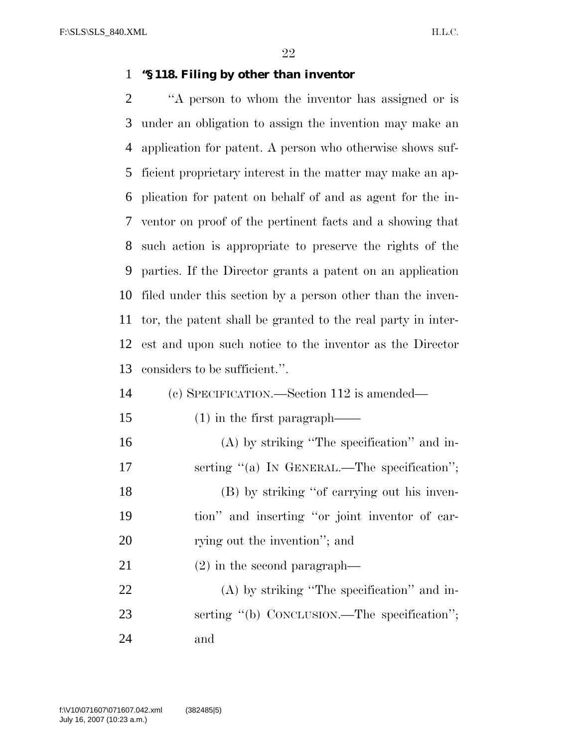#### **''§ 118. Filing by other than inventor**

 ''A person to whom the inventor has assigned or is under an obligation to assign the invention may make an application for patent. A person who otherwise shows suf- ficient proprietary interest in the matter may make an ap- plication for patent on behalf of and as agent for the in- ventor on proof of the pertinent facts and a showing that such action is appropriate to preserve the rights of the parties. If the Director grants a patent on an application filed under this section by a person other than the inven- tor, the patent shall be granted to the real party in inter- est and upon such notice to the inventor as the Director considers to be sufficient.''.

- (c) SPECIFICATION.—Section 112 is amended—
- (1) in the first paragraph——
- (A) by striking ''The specification'' and in-17 serting "(a) IN GENERAL.—The specification"; (B) by striking ''of carrying out his inven- tion'' and inserting ''or joint inventor of car-20 rying out the invention"; and
- (2) in the second paragraph—

 (A) by striking ''The specification'' and in-23 serting "(b) CONCLUSION.—The specification"; and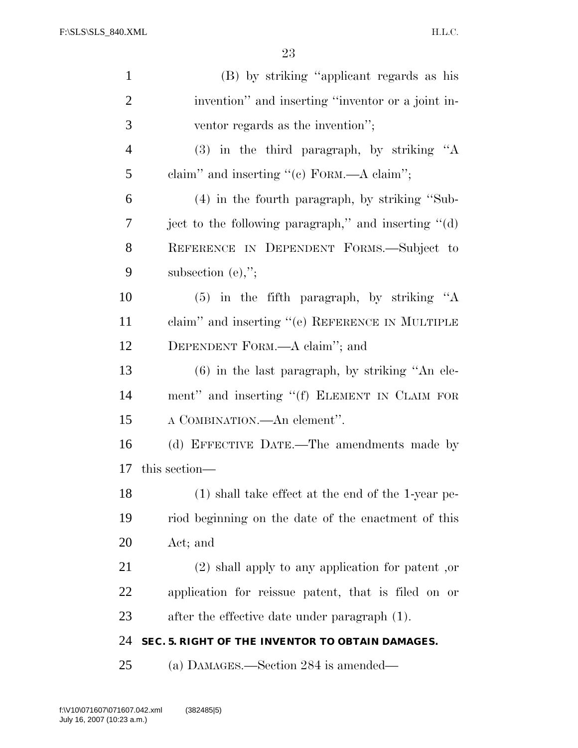H.L.C.

| $\mathbf{1}$   | (B) by striking "applicant regards as his                   |
|----------------|-------------------------------------------------------------|
| $\overline{2}$ | invention" and inserting "inventor or a joint in-           |
| 3              | ventor regards as the invention";                           |
| $\overline{4}$ | $(3)$ in the third paragraph, by striking "A                |
| 5              | claim" and inserting " $(e)$ FORM.—A claim";                |
| 6              | $(4)$ in the fourth paragraph, by striking "Sub-            |
| $\overline{7}$ | ject to the following paragraph," and inserting $\cdot$ (d) |
| 8              | REFERENCE IN DEPENDENT FORMS.-Subject to                    |
| 9              | subsection $(e)$ ,";                                        |
| 10             | $(5)$ in the fifth paragraph, by striking "A                |
| 11             | claim" and inserting "(e) REFERENCE IN MULTIPLE             |
| 12             | DEPENDENT FORM.—A claim"; and                               |
| 13             | $(6)$ in the last paragraph, by striking "An ele-           |
| 14             | ment" and inserting "(f) ELEMENT IN CLAIM FOR               |
| 15             | A COMBINATION.—An element".                                 |
| 16             | (d) EFFECTIVE DATE.—The amendments made by                  |
| 17             | this section—                                               |
| 18             | $(1)$ shall take effect at the end of the 1-year pe-        |
| 19             | riod beginning on the date of the enactment of this         |
| 20             | Act; and                                                    |
| 21             | $(2)$ shall apply to any application for patent, or         |
| 22             | application for reissue patent, that is filed on or         |
| 23             | after the effective date under paragraph (1).               |
| 24             | SEC. 5. RIGHT OF THE INVENTOR TO OBTAIN DAMAGES.            |
| 25             | (a) DAMAGES.—Section 284 is amended—                        |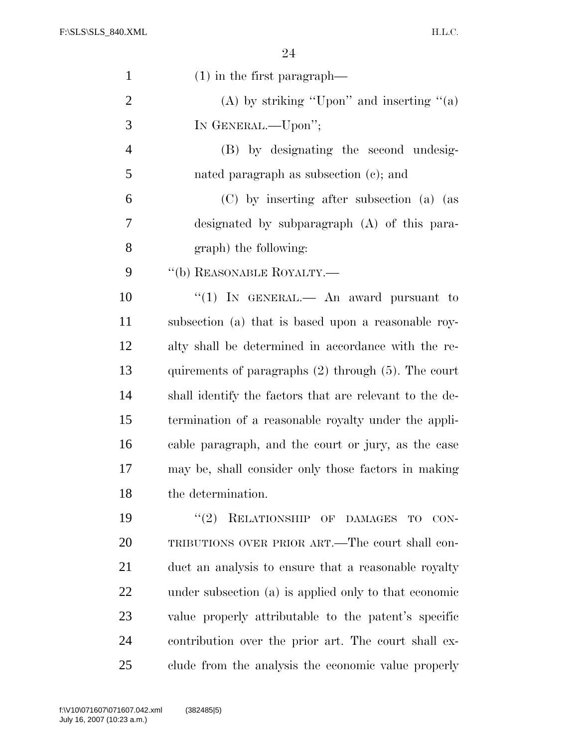H.L.C.

| $\mathbf{1}$   | $(1)$ in the first paragraph—                            |
|----------------|----------------------------------------------------------|
| $\overline{2}$ | (A) by striking "Upon" and inserting " $(a)$             |
| 3              | IN GENERAL.-Upon";                                       |
| $\overline{4}$ | (B) by designating the second undesig-                   |
| 5              | nated paragraph as subsection $(c)$ ; and                |
| 6              | (C) by inserting after subsection (a) (as                |
| 7              | designated by subparagraph (A) of this para-             |
| 8              | graph) the following:                                    |
| 9              | $``$ (b) REASONABLE ROYALTY.—                            |
| 10             | "(1) IN GENERAL.— An award pursuant to                   |
| 11             | subsection (a) that is based upon a reasonable roy-      |
| 12             | alty shall be determined in accordance with the re-      |
| 13             | quirements of paragraphs $(2)$ through $(5)$ . The court |
| 14             | shall identify the factors that are relevant to the de-  |
| 15             | termination of a reasonable royalty under the appli-     |
| 16             | cable paragraph, and the court or jury, as the case      |
| 17             | may be, shall consider only those factors in making      |
| 18             | the determination.                                       |
| 19             | "(2) RELATIONSHIP OF DAMAGES TO CON-                     |
| 20             | TRIBUTIONS OVER PRIOR ART.—The court shall con-          |
| 21             | duct an analysis to ensure that a reasonable royalty     |
| 22             | under subsection (a) is applied only to that economic    |
| 23             | value properly attributable to the patent's specific     |
| 24             | contribution over the prior art. The court shall ex-     |
| 25             | clude from the analysis the economic value properly      |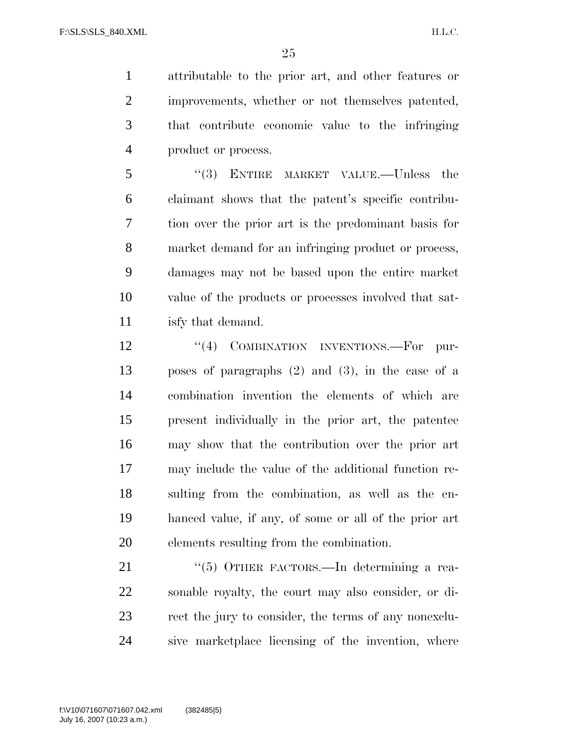attributable to the prior art, and other features or improvements, whether or not themselves patented, that contribute economic value to the infringing product or process.

 ''(3) ENTIRE MARKET VALUE.—Unless the claimant shows that the patent's specific contribu- tion over the prior art is the predominant basis for market demand for an infringing product or process, damages may not be based upon the entire market value of the products or processes involved that sat-isfy that demand.

12 "(4) COMBINATION INVENTIONS.—For pur- poses of paragraphs (2) and (3), in the case of a combination invention the elements of which are present individually in the prior art, the patentee may show that the contribution over the prior art may include the value of the additional function re- sulting from the combination, as well as the en- hanced value, if any, of some or all of the prior art elements resulting from the combination.

21 "(5) OTHER FACTORS.—In determining a rea- sonable royalty, the court may also consider, or di- rect the jury to consider, the terms of any nonexclu-sive marketplace licensing of the invention, where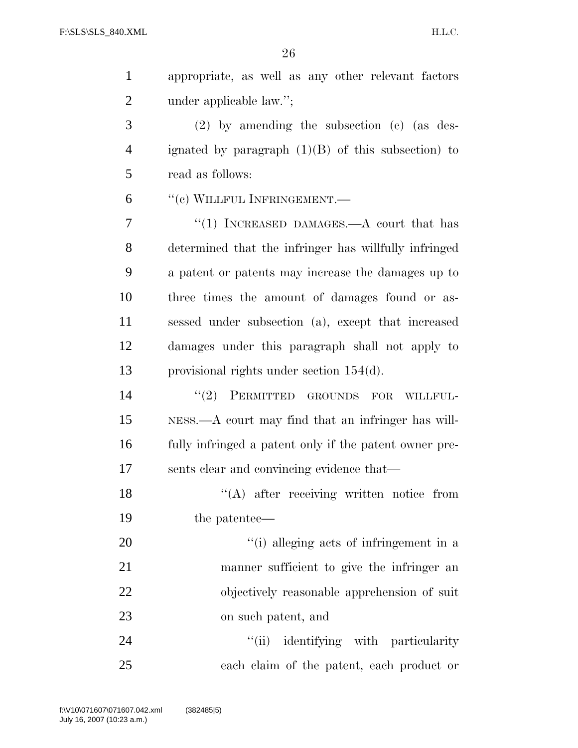appropriate, as well as any other relevant factors 2 under applicable law.";

 (2) by amending the subsection (c) (as des- ignated by paragraph (1)(B) of this subsection) to read as follows:

''(c) WILLFUL INFRINGEMENT.—

7 "(1) INCREASED DAMAGES.—A court that has determined that the infringer has willfully infringed a patent or patents may increase the damages up to three times the amount of damages found or as- sessed under subsection (a), except that increased damages under this paragraph shall not apply to provisional rights under section 154(d).

 $\text{``(2)}$  PERMITTED GROUNDS FOR WILLFUL- NESS.—A court may find that an infringer has will- fully infringed a patent only if the patent owner pre-sents clear and convincing evidence that—

18 "(A) after receiving written notice from the patentee—

 $\frac{1}{2}$  (i) alleging acts of infringement in a manner sufficient to give the infringer an objectively reasonable apprehension of suit on such patent, and

24 ''(ii) identifying with particularity each claim of the patent, each product or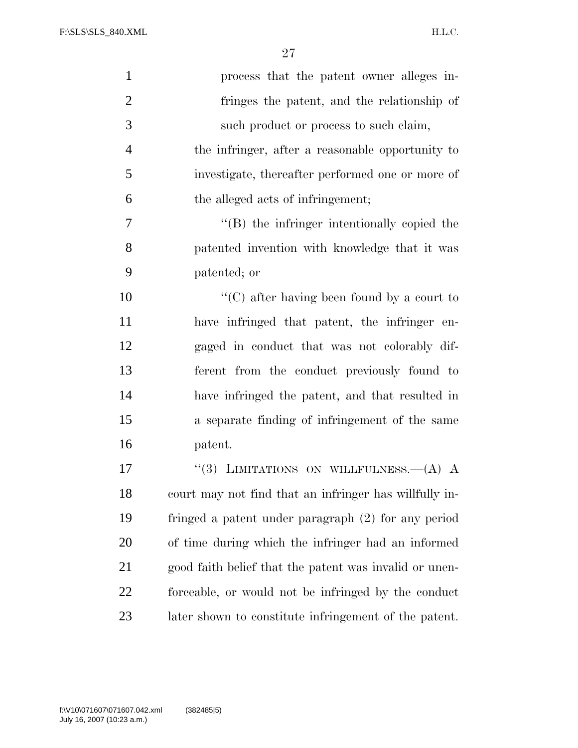H.L.C.

| $\mathbf{1}$   | process that the patent owner alleges in-              |
|----------------|--------------------------------------------------------|
| $\overline{2}$ | fringes the patent, and the relationship of            |
| 3              | such product or process to such claim,                 |
| $\overline{4}$ | the infringer, after a reasonable opportunity to       |
| 5              | investigate, thereafter performed one or more of       |
| 6              | the alleged acts of infringement;                      |
| $\tau$         | $\lq\lq$ the infringer intentionally copied the        |
| $8\,$          | patented invention with knowledge that it was          |
| 9              | patented; or                                           |
| 10             | "(C) after having been found by a court to             |
| 11             | have infringed that patent, the infringer en-          |
| 12             | gaged in conduct that was not colorably dif-           |
| 13             | ferent from the conduct previously found to            |
| 14             | have infringed the patent, and that resulted in        |
| 15             | a separate finding of infringement of the same         |
| 16             | patent.                                                |
| 17             | "(3) LIMITATIONS ON WILLFULNESS. $-A$ ) A              |
| 18             | court may not find that an infringer has willfully in- |
| 19             | fringed a patent under paragraph (2) for any period    |
| 20             | of time during which the infringer had an informed     |
| 21             | good faith belief that the patent was invalid or unen- |
| 22             | forceable, or would not be infringed by the conduct    |
| 23             | later shown to constitute infringement of the patent.  |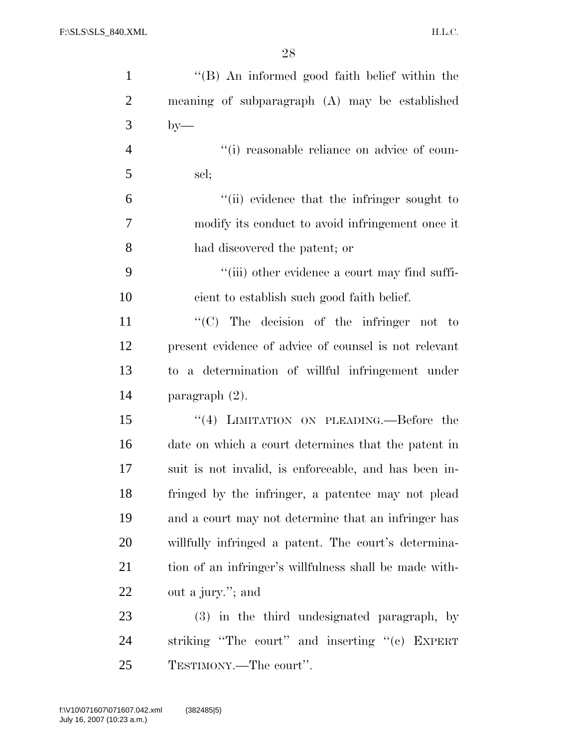| $\mathbf{1}$   | "(B) An informed good faith belief within the          |
|----------------|--------------------------------------------------------|
| $\overline{2}$ | meaning of subparagraph (A) may be established         |
| 3              | $by-$                                                  |
| $\overline{4}$ | "(i) reasonable reliance on advice of coun-            |
| 5              | sel;                                                   |
| 6              | "(ii) evidence that the infringer sought to            |
| 7              | modify its conduct to avoid infringement once it       |
| 8              | had discovered the patent; or                          |
| 9              | "(iii) other evidence a court may find suffi-          |
| 10             | cient to establish such good faith belief.             |
| 11             | " $(C)$ The decision of the infringer not to           |
| 12             | present evidence of advice of counsel is not relevant  |
| 13             | to a determination of willful infringement under       |
| 14             | paragraph $(2)$ .                                      |
| 15             | "(4) LIMITATION ON PLEADING.—Before the                |
| 16             | date on which a court determines that the patent in    |
| 17             | suit is not invalid, is enforceable, and has been in-  |
| 18             | fringed by the infringer, a patentee may not plead     |
| 19             | and a court may not determine that an infringer has    |
| 20             | willfully infringed a patent. The court's determina-   |
| 21             | tion of an infringer's willfulness shall be made with- |
| 22             | out a jury."; and                                      |
| 23             | (3) in the third undesignated paragraph, by            |
| 24             | striking "The court" and inserting "(c) EXPERT         |
| 25             | TESTIMONY.—The court".                                 |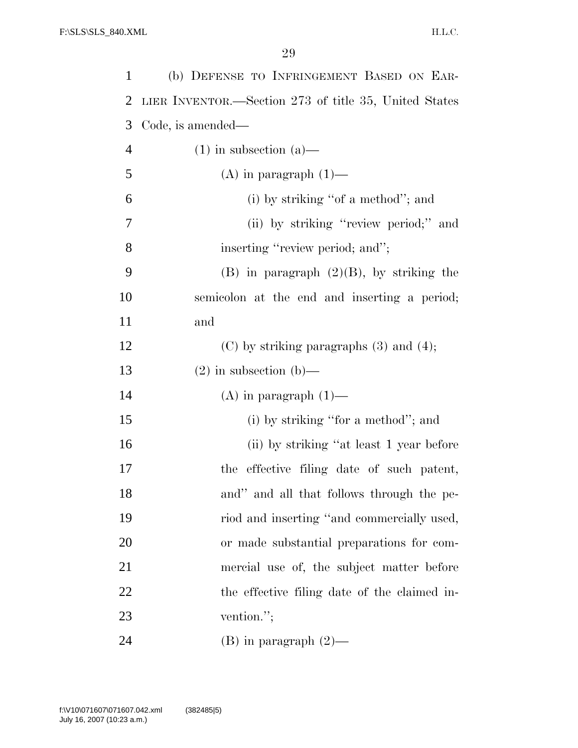| $\mathbf{1}$   | (b) DEFENSE TO INFRINGEMENT BASED ON EAR-             |
|----------------|-------------------------------------------------------|
| 2              | LIER INVENTOR.—Section 273 of title 35, United States |
| 3              | Code, is amended—                                     |
| $\overline{4}$ | $(1)$ in subsection $(a)$ —                           |
| 5              | $(A)$ in paragraph $(1)$ —                            |
| 6              | (i) by striking "of a method"; and                    |
| 7              | (ii) by striking "review period;" and                 |
| 8              | inserting "review period; and";                       |
| 9              | $(B)$ in paragraph $(2)(B)$ , by striking the         |
| 10             | semicolon at the end and inserting a period;          |
| 11             | and                                                   |
| 12             | $(C)$ by striking paragraphs $(3)$ and $(4)$ ;        |
| 13             | $(2)$ in subsection $(b)$ —                           |
| 14             | $(A)$ in paragraph $(1)$ —                            |
| 15             | (i) by striking "for a method"; and                   |
| 16             | (ii) by striking "at least 1 year before              |
| 17             | the effective filing date of such patent,             |
| 18             | and" and all that follows through the pe-             |
| 19             | riod and inserting "and commercially used,            |
| 20             | or made substantial preparations for com-             |
| 21             | mercial use of, the subject matter before             |
| 22             | the effective filing date of the claimed in-          |
| 23             | vention.";                                            |
| 24             | $(B)$ in paragraph $(2)$ —                            |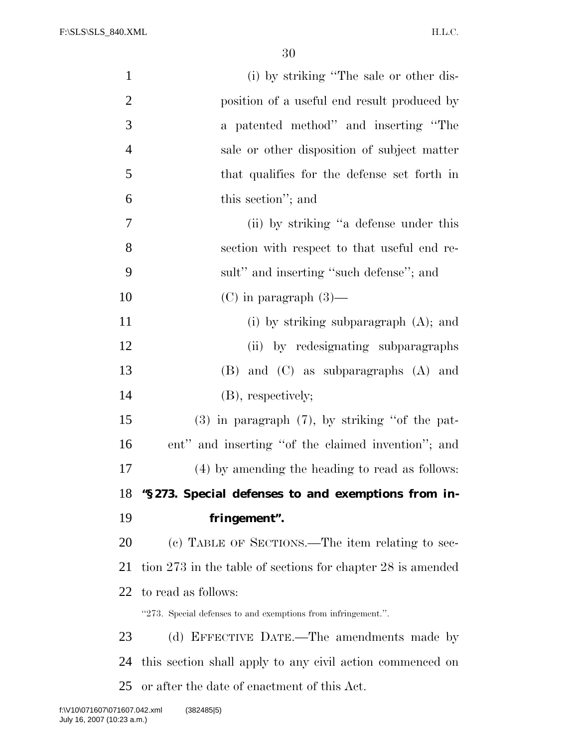| $\mathbf{1}$   | (i) by striking "The sale or other dis-                       |
|----------------|---------------------------------------------------------------|
| $\overline{c}$ | position of a useful end result produced by                   |
| 3              | a patented method" and inserting "The                         |
| $\overline{4}$ | sale or other disposition of subject matter                   |
| 5              | that qualifies for the defense set forth in                   |
| 6              | this section"; and                                            |
| 7              | (ii) by striking "a defense under this                        |
| 8              | section with respect to that useful end re-                   |
| 9              | sult" and inserting "such defense"; and                       |
| 10             | $(C)$ in paragraph $(3)$ —                                    |
| 11             | (i) by striking subparagraph $(A)$ ; and                      |
| 12             | (ii) by redesignating subparagraphs                           |
| 13             | $(B)$ and $(C)$ as subparagraphs $(A)$ and                    |
| 14             | (B), respectively;                                            |
| 15             | $(3)$ in paragraph $(7)$ , by striking "of the pat-           |
| 16             | ent" and inserting "of the claimed invention"; and            |
| 17             | (4) by amending the heading to read as follows:               |
| 18             | "§273. Special defenses to and exemptions from in-            |
| 19             | fringement".                                                  |
| 20             | (c) TABLE OF SECTIONS.—The item relating to sec-              |
| 21             | tion 273 in the table of sections for chapter 28 is amended   |
| 22             | to read as follows:                                           |
|                | "273. Special defenses to and exemptions from infringement.". |
| 23             | (d) EFFECTIVE DATE.—The amendments made by                    |
| 24             | this section shall apply to any civil action commenced on     |
| 25             | or after the date of enactment of this Act.                   |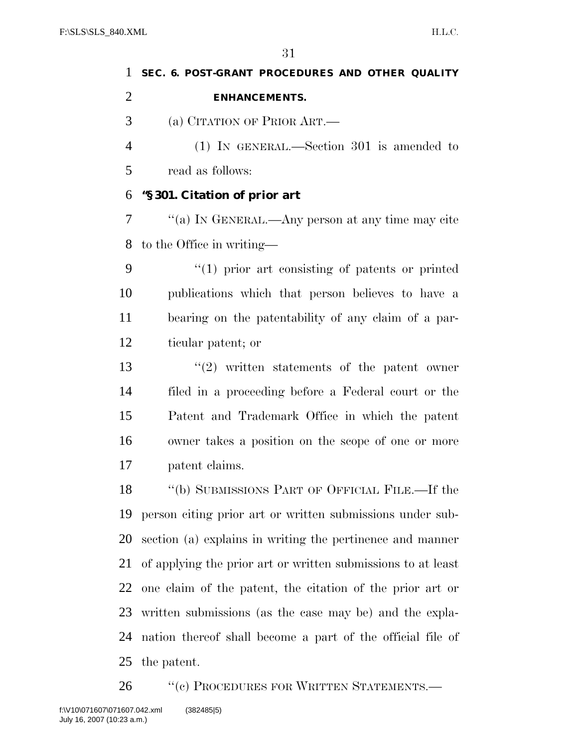| 1              | SEC. 6. POST-GRANT PROCEDURES AND OTHER QUALITY     |
|----------------|-----------------------------------------------------|
| $\overline{2}$ | <b>ENHANCEMENTS.</b>                                |
| 3              | (a) CITATION OF PRIOR ART.—                         |
| $\overline{4}$ | $(1)$ IN GENERAL.—Section 301 is amended to         |
| 5              | read as follows:                                    |
| 6              | "§301. Citation of prior art                        |
| 7              | "(a) IN GENERAL.—Any person at any time may cite    |
| 8              | to the Office in writing—                           |
| 9              | $\lq(1)$ prior art consisting of patents or printed |
| 10             | publications which that person believes to have a   |
| 11             | bearing on the patentability of any claim of a par- |
| 12             | ticular patent; or                                  |
| 13             | $(2)$ written statements of the patent owner        |
| 14             | filed in a proceeding before a Federal court or the |
| 15             | Patent and Trademark Office in which the patent     |
| 16             | owner takes a position on the scope of one or more  |

patent claims.

 ''(b) SUBMISSIONS PART OF OFFICIAL FILE.—If the person citing prior art or written submissions under sub- section (a) explains in writing the pertinence and manner of applying the prior art or written submissions to at least one claim of the patent, the citation of the prior art or written submissions (as the case may be) and the expla- nation thereof shall become a part of the official file of the patent.

26 "(c) PROCEDURES FOR WRITTEN STATEMENTS.—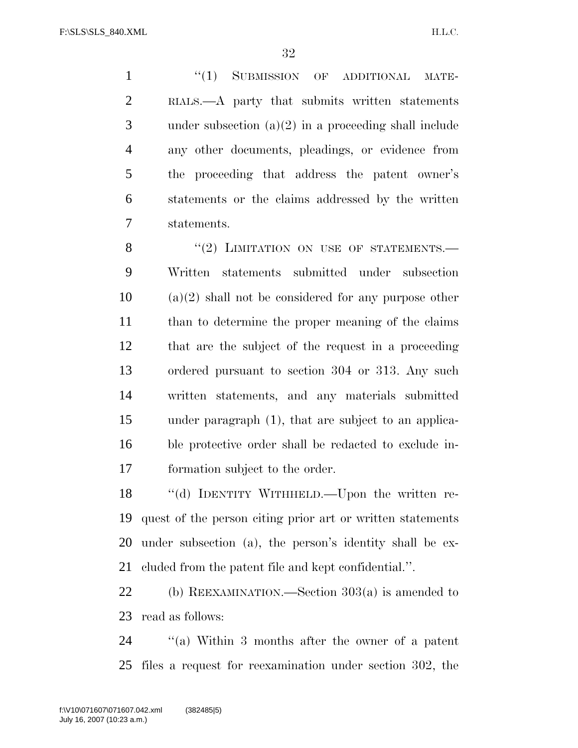H.L.C.

1 "(1) SUBMISSION OF ADDITIONAL MATE- RIALS.—A party that submits written statements under subsection (a)(2) in a proceeding shall include any other documents, pleadings, or evidence from the proceeding that address the patent owner's statements or the claims addressed by the written statements.

 $"(2)$  LIMITATION ON USE OF STATEMENTS. Written statements submitted under subsection (a)(2) shall not be considered for any purpose other than to determine the proper meaning of the claims that are the subject of the request in a proceeding ordered pursuant to section 304 or 313. Any such written statements, and any materials submitted under paragraph (1), that are subject to an applica- ble protective order shall be redacted to exclude in-formation subject to the order.

 ''(d) IDENTITY WITHHELD.—Upon the written re- quest of the person citing prior art or written statements under subsection (a), the person's identity shall be ex-cluded from the patent file and kept confidential.''.

 (b) REEXAMINATION.—Section 303(a) is amended to read as follows:

 ''(a) Within 3 months after the owner of a patent files a request for reexamination under section 302, the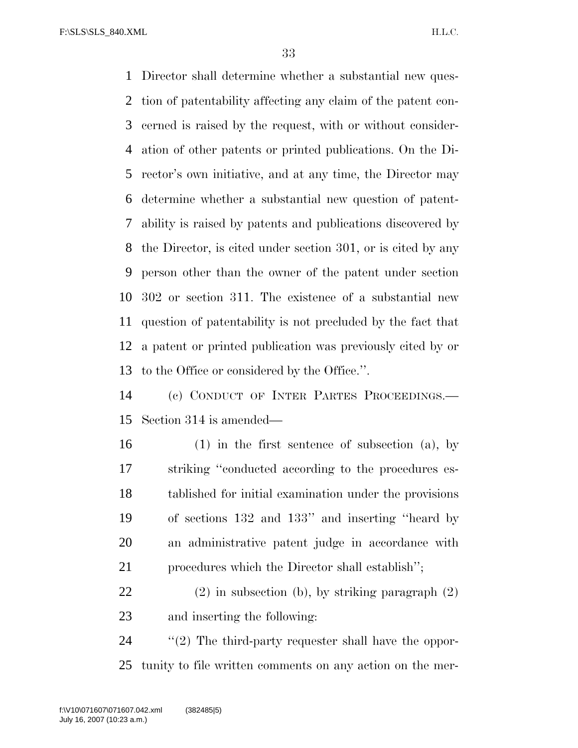Director shall determine whether a substantial new ques- tion of patentability affecting any claim of the patent con- cerned is raised by the request, with or without consider- ation of other patents or printed publications. On the Di- rector's own initiative, and at any time, the Director may determine whether a substantial new question of patent- ability is raised by patents and publications discovered by the Director, is cited under section 301, or is cited by any person other than the owner of the patent under section 302 or section 311. The existence of a substantial new question of patentability is not precluded by the fact that a patent or printed publication was previously cited by or to the Office or considered by the Office.''.

 (c) CONDUCT OF INTER PARTES PROCEEDINGS.— Section 314 is amended—

- (1) in the first sentence of subsection (a), by striking ''conducted according to the procedures es- tablished for initial examination under the provisions of sections 132 and 133'' and inserting ''heard by an administrative patent judge in accordance with procedures which the Director shall establish'';
- (2) in subsection (b), by striking paragraph (2) and inserting the following:

24  $\gamma$  (2) The third-party requester shall have the oppor-tunity to file written comments on any action on the mer-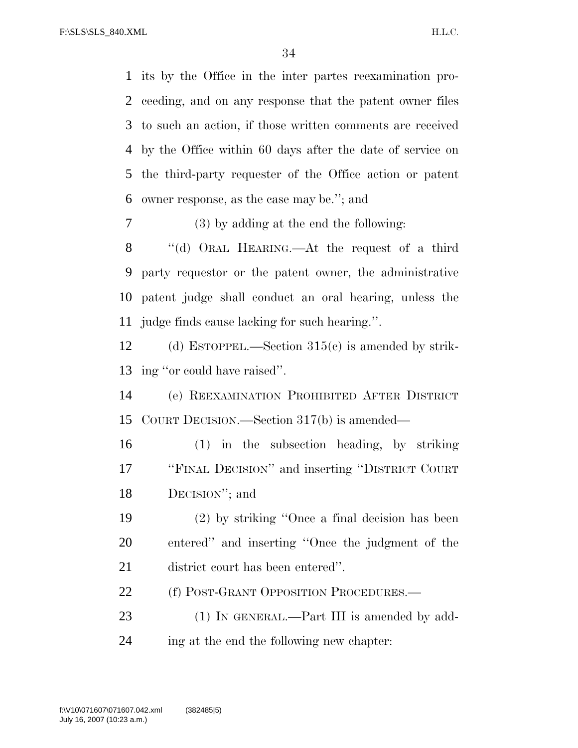its by the Office in the inter partes reexamination pro- ceeding, and on any response that the patent owner files to such an action, if those written comments are received by the Office within 60 days after the date of service on the third-party requester of the Office action or patent owner response, as the case may be.''; and

(3) by adding at the end the following:

8 "(d) ORAL HEARING.—At the request of a third party requestor or the patent owner, the administrative patent judge shall conduct an oral hearing, unless the judge finds cause lacking for such hearing.''.

 (d) ESTOPPEL.—Section 315(c) is amended by strik-ing ''or could have raised''.

 (e) REEXAMINATION PROHIBITED AFTER DISTRICT COURT DECISION.—Section 317(b) is amended—

 (1) in the subsection heading, by striking ''FINAL DECISION'' and inserting ''DISTRICT COURT DECISION''; and

 (2) by striking ''Once a final decision has been entered'' and inserting ''Once the judgment of the district court has been entered''.

22 (f) POST-GRANT OPPOSITION PROCEDURES.—

23 (1) IN GENERAL.—Part III is amended by add-ing at the end the following new chapter: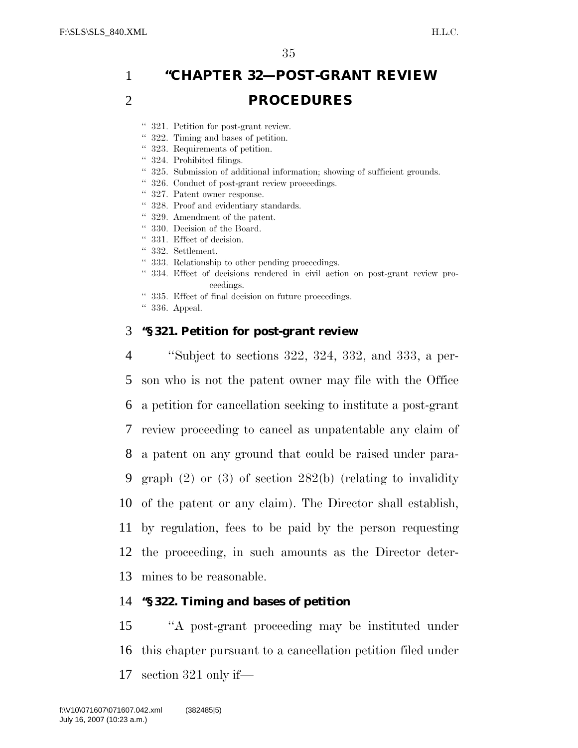# 1 **''CHAPTER 32—POST-GRANT REVIEW**  2 **PROCEDURES**

- '' 321. Petition for post-grant review.
- '' 322. Timing and bases of petition.
- '' 323. Requirements of petition.
- '' 324. Prohibited filings.
- '' 325. Submission of additional information; showing of sufficient grounds.
- '' 326. Conduct of post-grant review proceedings.
- '' 327. Patent owner response.
- '' 328. Proof and evidentiary standards.
- '' 329. Amendment of the patent.
- '' 330. Decision of the Board.
- '' 331. Effect of decision.
- '' 332. Settlement.
- '' 333. Relationship to other pending proceedings.
- '' 334. Effect of decisions rendered in civil action on post-grant review proceedings.
- '' 335. Effect of final decision on future proceedings.
- '' 336. Appeal.

## 3 **''§ 321. Petition for post-grant review**

 ''Subject to sections 322, 324, 332, and 333, a per- son who is not the patent owner may file with the Office a petition for cancellation seeking to institute a post-grant review proceeding to cancel as unpatentable any claim of a patent on any ground that could be raised under para- graph (2) or (3) of section 282(b) (relating to invalidity of the patent or any claim). The Director shall establish, by regulation, fees to be paid by the person requesting the proceeding, in such amounts as the Director deter-mines to be reasonable.

# 14 **''§ 322. Timing and bases of petition**

15 ''A post-grant proceeding may be instituted under 16 this chapter pursuant to a cancellation petition filed under 17 section 321 only if—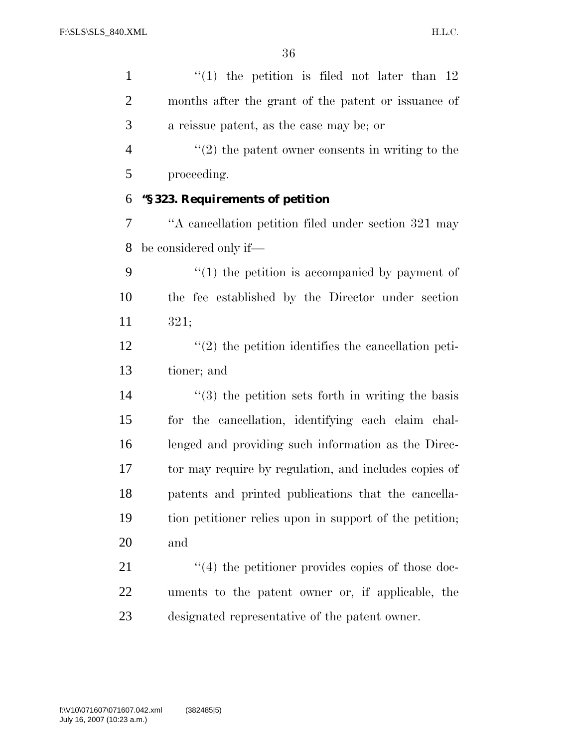| $\mathbf{1}$   | $(1)$ the petition is filed not later than 12                 |
|----------------|---------------------------------------------------------------|
| $\overline{2}$ | months after the grant of the patent or issuance of           |
| 3              | a reissue patent, as the case may be; or                      |
| $\overline{4}$ | $\cdot\cdot(2)$ the patent owner consents in writing to the   |
| 5              | proceeding.                                                   |
| 6              | "§323. Requirements of petition                               |
| 7              | "A cancellation petition filed under section 321 may          |
| 8              | be considered only if—                                        |
| 9              | $\lq(1)$ the petition is accompanied by payment of            |
| 10             | the fee established by the Director under section             |
| 11             | 321;                                                          |
| 12             | $\lq(2)$ the petition identifies the cancellation peti-       |
| 13             | tioner; and                                                   |
| 14             | $\cdot\cdot$ (3) the petition sets forth in writing the basis |
| 15             | for the cancellation, identifying each claim chal-            |
| 16             | lenged and providing such information as the Direc-           |
| 17             | tor may require by regulation, and includes copies of         |
| 18             | patents and printed publications that the cancella-           |
| 19             | tion petitioner relies upon in support of the petition;       |
| 20             | and                                                           |
| 21             | $\cdot$ (4) the petitioner provides copies of those doc-      |
| 22             | uments to the patent owner or, if applicable, the             |
| 23             | designated representative of the patent owner.                |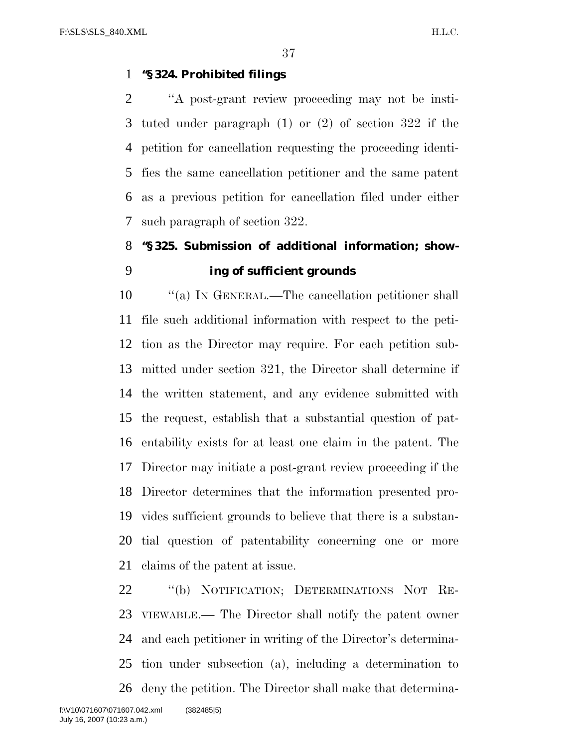#### **''§ 324. Prohibited filings**

 ''A post-grant review proceeding may not be insti- tuted under paragraph (1) or (2) of section 322 if the petition for cancellation requesting the proceeding identi- fies the same cancellation petitioner and the same patent as a previous petition for cancellation filed under either such paragraph of section 322.

# **''§ 325. Submission of additional information; show-ing of sufficient grounds**

 $\cdot$  "(a) In GENERAL.—The cancellation petitioner shall file such additional information with respect to the peti- tion as the Director may require. For each petition sub- mitted under section 321, the Director shall determine if the written statement, and any evidence submitted with the request, establish that a substantial question of pat- entability exists for at least one claim in the patent. The Director may initiate a post-grant review proceeding if the Director determines that the information presented pro- vides sufficient grounds to believe that there is a substan- tial question of patentability concerning one or more claims of the patent at issue.

 ''(b) NOTIFICATION; DETERMINATIONS NOT RE- VIEWABLE.— The Director shall notify the patent owner and each petitioner in writing of the Director's determina- tion under subsection (a), including a determination to deny the petition. The Director shall make that determina-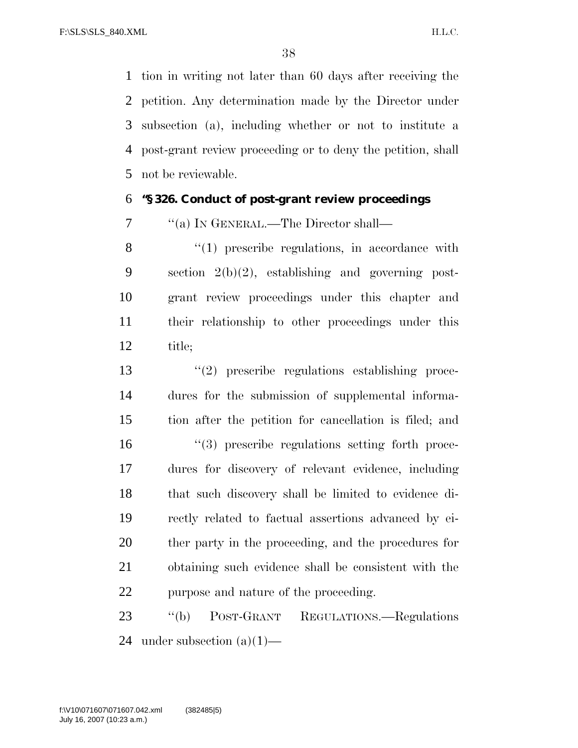tion in writing not later than 60 days after receiving the petition. Any determination made by the Director under subsection (a), including whether or not to institute a post-grant review proceeding or to deny the petition, shall not be reviewable.

#### **''§ 326. Conduct of post-grant review proceedings**

''(a) IN GENERAL.—The Director shall—

8 "(1) prescribe regulations, in accordance with section 2(b)(2), establishing and governing post- grant review proceedings under this chapter and their relationship to other proceedings under this title;

 ''(2) prescribe regulations establishing proce- dures for the submission of supplemental informa- tion after the petition for cancellation is filed; and  $\frac{16}{3}$  prescribe regulations setting forth proce- dures for discovery of relevant evidence, including that such discovery shall be limited to evidence di- rectly related to factual assertions advanced by ei- ther party in the proceeding, and the procedures for obtaining such evidence shall be consistent with the purpose and nature of the proceeding.

 ''(b) POST-GRANT REGULATIONS.—Regulations 24 under subsection  $(a)(1)$ —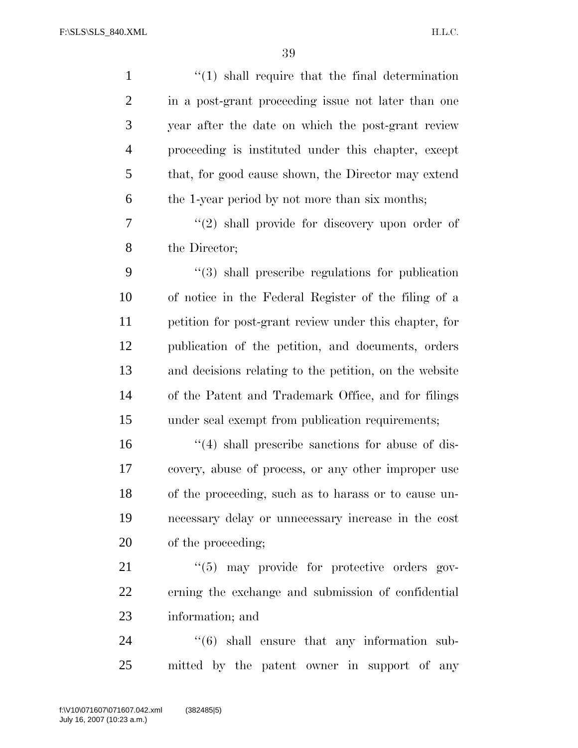H.L.C.

| $\mathbf{1}$   | $\lq(1)$ shall require that the final determination         |
|----------------|-------------------------------------------------------------|
| $\overline{2}$ | in a post-grant proceeding issue not later than one         |
| 3              | year after the date on which the post-grant review          |
| $\overline{4}$ | proceeding is instituted under this chapter, except         |
| 5              | that, for good cause shown, the Director may extend         |
| 6              | the 1-year period by not more than six months;              |
| 7              | $\lq(2)$ shall provide for discovery upon order of          |
| 8              | the Director;                                               |
| 9              | $\lq(3)$ shall prescribe regulations for publication        |
| 10             | of notice in the Federal Register of the filing of a        |
| 11             | petition for post-grant review under this chapter, for      |
| 12             | publication of the petition, and documents, orders          |
| 13             | and decisions relating to the petition, on the website      |
| 14             | of the Patent and Trademark Office, and for filings         |
| 15             | under seal exempt from publication requirements;            |
| 16             | $\lq(4)$ shall prescribe sanctions for abuse of dis-        |
| 17             | covery, abuse of process, or any other improper use         |
| 18             | of the proceeding, such as to harass or to cause un-        |
| 19             | necessary delay or unnecessary increase in the cost         |
| 20             | of the proceeding;                                          |
| 21             | "(5) may provide for protective orders gov-                 |
| 22             | erning the exchange and submission of confidential          |
| 23             | information; and                                            |
| 24             | $\cdot\cdot\cdot(6)$ shall ensure that any information sub- |
| 25             | mitted by the patent owner in support of any                |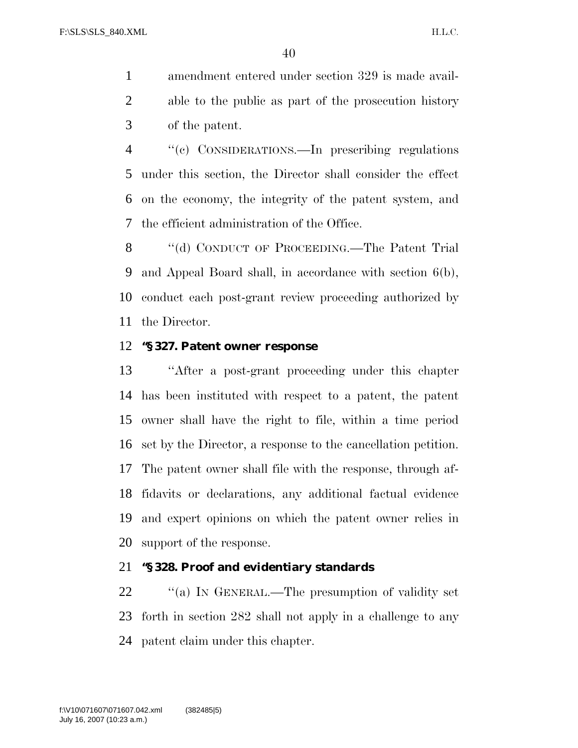amendment entered under section 329 is made avail- able to the public as part of the prosecution history of the patent.

 ''(c) CONSIDERATIONS.—In prescribing regulations under this section, the Director shall consider the effect on the economy, the integrity of the patent system, and the efficient administration of the Office.

8 "(d) CONDUCT OF PROCEEDING.—The Patent Trial and Appeal Board shall, in accordance with section 6(b), conduct each post-grant review proceeding authorized by the Director.

#### **''§ 327. Patent owner response**

 ''After a post-grant proceeding under this chapter has been instituted with respect to a patent, the patent owner shall have the right to file, within a time period set by the Director, a response to the cancellation petition. The patent owner shall file with the response, through af- fidavits or declarations, any additional factual evidence and expert opinions on which the patent owner relies in support of the response.

#### **''§ 328. Proof and evidentiary standards**

22 "(a) In GENERAL.—The presumption of validity set forth in section 282 shall not apply in a challenge to any patent claim under this chapter.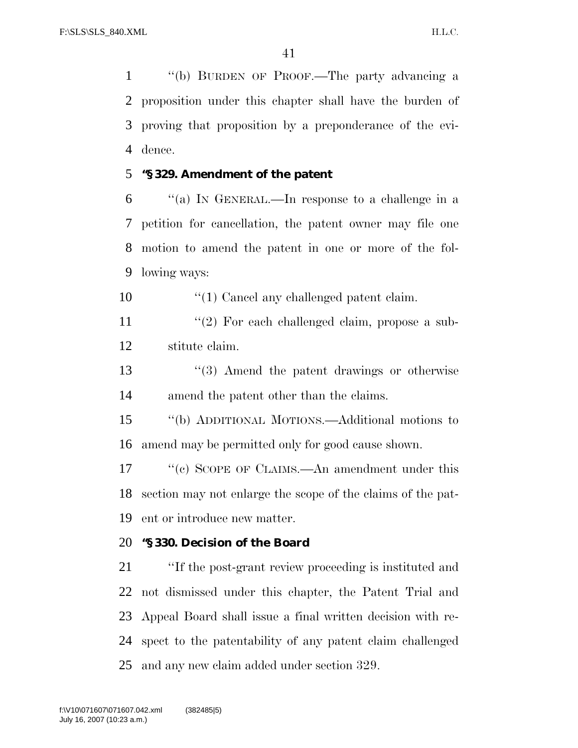''(b) BURDEN OF PROOF.—The party advancing a proposition under this chapter shall have the burden of proving that proposition by a preponderance of the evi-dence.

#### **''§ 329. Amendment of the patent**

 ''(a) IN GENERAL.—In response to a challenge in a petition for cancellation, the patent owner may file one motion to amend the patent in one or more of the fol-lowing ways:

10  $\frac{10}{10}$  Cancel any challenged patent claim.

11 ''(2) For each challenged claim, propose a sub-stitute claim.

 ''(3) Amend the patent drawings or otherwise amend the patent other than the claims.

 ''(b) ADDITIONAL MOTIONS.—Additional motions to amend may be permitted only for good cause shown.

17 ''(c) SCOPE OF CLAIMS.—An amendment under this section may not enlarge the scope of the claims of the pat-ent or introduce new matter.

# **''§ 330. Decision of the Board**

 ''If the post-grant review proceeding is instituted and not dismissed under this chapter, the Patent Trial and Appeal Board shall issue a final written decision with re- spect to the patentability of any patent claim challenged and any new claim added under section 329.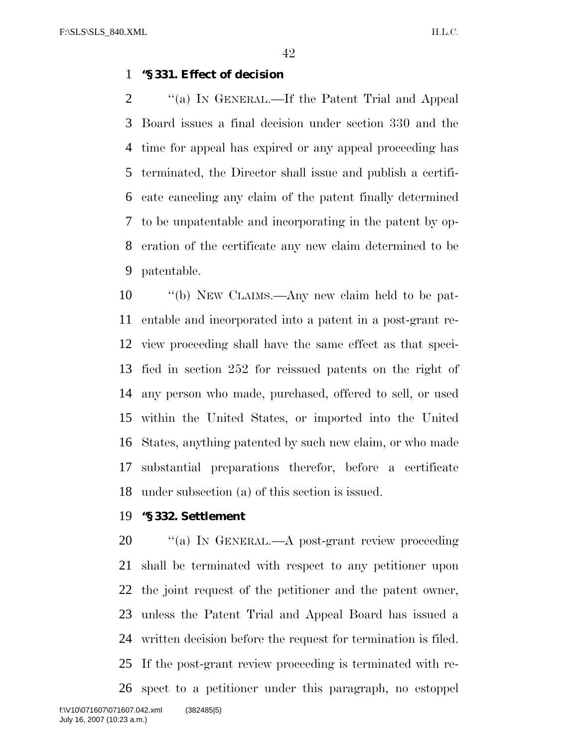#### **''§ 331. Effect of decision**

2 "(a) In GENERAL.—If the Patent Trial and Appeal Board issues a final decision under section 330 and the time for appeal has expired or any appeal proceeding has terminated, the Director shall issue and publish a certifi- cate canceling any claim of the patent finally determined to be unpatentable and incorporating in the patent by op- eration of the certificate any new claim determined to be patentable.

 ''(b) NEW CLAIMS.—Any new claim held to be pat- entable and incorporated into a patent in a post-grant re- view proceeding shall have the same effect as that speci- fied in section 252 for reissued patents on the right of any person who made, purchased, offered to sell, or used within the United States, or imported into the United States, anything patented by such new claim, or who made substantial preparations therefor, before a certificate under subsection (a) of this section is issued.

#### **''§ 332. Settlement**

20 "(a) In GENERAL.—A post-grant review proceeding shall be terminated with respect to any petitioner upon the joint request of the petitioner and the patent owner, unless the Patent Trial and Appeal Board has issued a written decision before the request for termination is filed. If the post-grant review proceeding is terminated with re- spect to a petitioner under this paragraph, no estoppel f:\V10\071607\071607.042.xml (382485|5)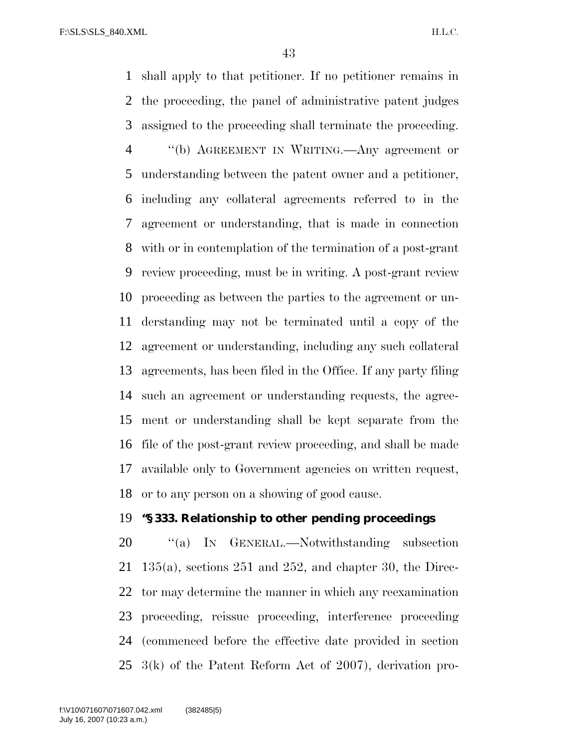shall apply to that petitioner. If no petitioner remains in the proceeding, the panel of administrative patent judges assigned to the proceeding shall terminate the proceeding. ''(b) AGREEMENT IN WRITING.—Any agreement or understanding between the patent owner and a petitioner, including any collateral agreements referred to in the agreement or understanding, that is made in connection with or in contemplation of the termination of a post-grant review proceeding, must be in writing. A post-grant review proceeding as between the parties to the agreement or un- derstanding may not be terminated until a copy of the agreement or understanding, including any such collateral agreements, has been filed in the Office. If any party filing such an agreement or understanding requests, the agree- ment or understanding shall be kept separate from the file of the post-grant review proceeding, and shall be made available only to Government agencies on written request, or to any person on a showing of good cause.

## **''§ 333. Relationship to other pending proceedings**

20 "(a) IN GENERAL.—Notwithstanding subsection 135(a), sections 251 and 252, and chapter 30, the Direc- tor may determine the manner in which any reexamination proceeding, reissue proceeding, interference proceeding (commenced before the effective date provided in section 3(k) of the Patent Reform Act of 2007), derivation pro-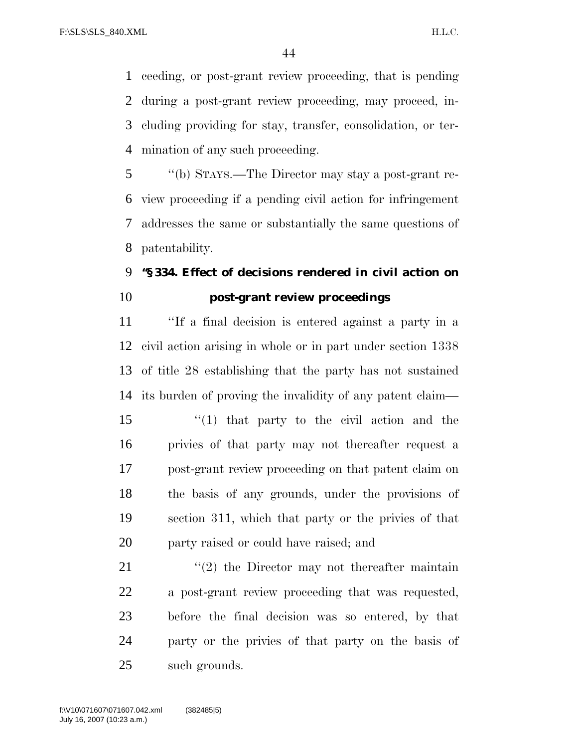ceeding, or post-grant review proceeding, that is pending during a post-grant review proceeding, may proceed, in- cluding providing for stay, transfer, consolidation, or ter-mination of any such proceeding.

 ''(b) STAYS.—The Director may stay a post-grant re- view proceeding if a pending civil action for infringement addresses the same or substantially the same questions of patentability.

# **''§ 334. Effect of decisions rendered in civil action on post-grant review proceedings**

 ''If a final decision is entered against a party in a civil action arising in whole or in part under section 1338 of title 28 establishing that the party has not sustained its burden of proving the invalidity of any patent claim—

 ''(1) that party to the civil action and the privies of that party may not thereafter request a post-grant review proceeding on that patent claim on the basis of any grounds, under the provisions of section 311, which that party or the privies of that party raised or could have raised; and

 $(2)$  the Director may not thereafter maintain a post-grant review proceeding that was requested, before the final decision was so entered, by that party or the privies of that party on the basis of such grounds.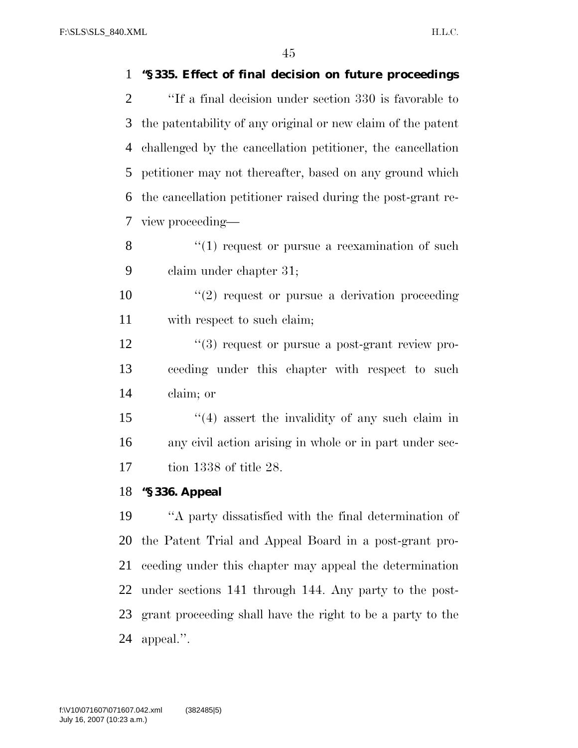**''§ 335. Effect of final decision on future proceedings** 

| $\overline{2}$ | "If a final decision under section 330 is favorable to          |
|----------------|-----------------------------------------------------------------|
| 3              | the patentability of any original or new claim of the patent    |
| 4              | challenged by the cancellation petitioner, the cancellation     |
| 5              | petitioner may not thereafter, based on any ground which        |
| 6              | the cancellation petitioner raised during the post-grant re-    |
| 7              | view proceeding—                                                |
| 8              | $\cdot$ (1) request or pursue a reexamination of such           |
| 9              | claim under chapter 31;                                         |
| 10             | $\lq(2)$ request or pursue a derivation proceeding              |
| 11             | with respect to such claim;                                     |
| 12             | $\cdot\cdot\cdot(3)$ request or pursue a post-grant review pro- |
| 13             | ceeding under this chapter with respect to such                 |
| 14             | claim; or                                                       |
| 15             | $(4)$ assert the invalidity of any such claim in                |
| 16             | any civil action arising in whole or in part under sec-         |
| 17             | tion $1338$ of title 28.                                        |
| 18             | "§336. Appeal                                                   |
| 19             | "A party dissatisfied with the final determination of           |
| 20             | the Patent Trial and Appeal Board in a post-grant pro-          |
| 21             | ceeding under this chapter may appeal the determination         |
| 22             | under sections 141 through 144. Any party to the post-          |
| 23             | grant proceeding shall have the right to be a party to the      |
| 24             | appeal.".                                                       |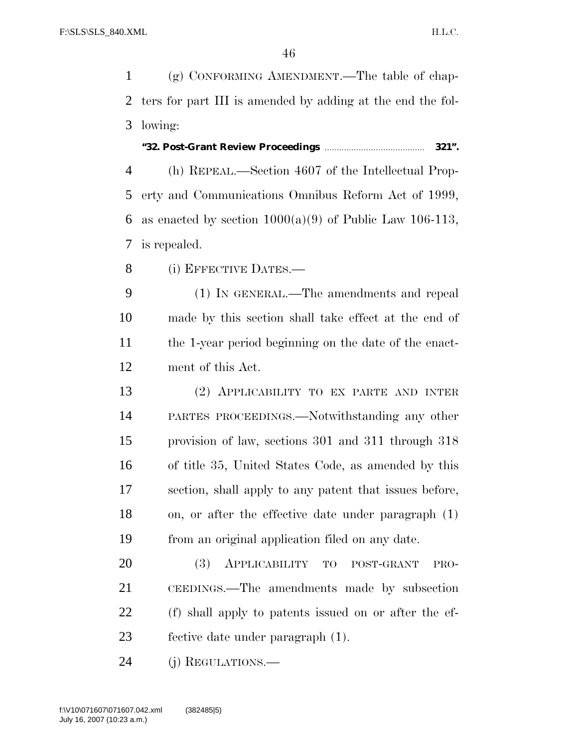(g) CONFORMING AMENDMENT.—The table of chap- ters for part III is amended by adding at the end the fol-lowing:

**''32. Post-Grant Review Proceedings** ......................................... **321''.**

 (h) REPEAL.—Section 4607 of the Intellectual Prop- erty and Communications Omnibus Reform Act of 1999, 6 as enacted by section  $1000(a)(9)$  of Public Law 106-113, is repealed.

8 (i) EFFECTIVE DATES.—

 (1) IN GENERAL.—The amendments and repeal made by this section shall take effect at the end of the 1-year period beginning on the date of the enact-ment of this Act.

 (2) APPLICABILITY TO EX PARTE AND INTER PARTES PROCEEDINGS.—Notwithstanding any other provision of law, sections 301 and 311 through 318 of title 35, United States Code, as amended by this section, shall apply to any patent that issues before, on, or after the effective date under paragraph (1) from an original application filed on any date.

 (3) APPLICABILITY TO POST-GRANT PRO- CEEDINGS.—The amendments made by subsection (f) shall apply to patents issued on or after the ef-fective date under paragraph (1).

(j) REGULATIONS.—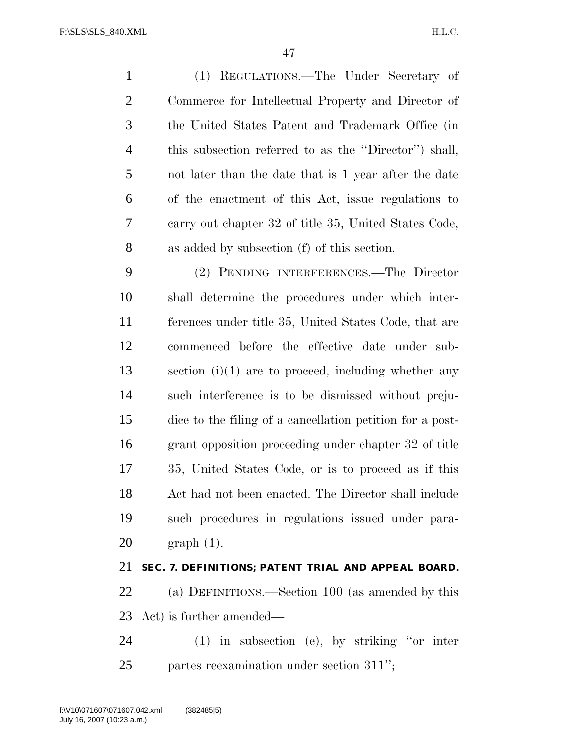(1) REGULATIONS.—The Under Secretary of Commerce for Intellectual Property and Director of the United States Patent and Trademark Office (in this subsection referred to as the ''Director'') shall, not later than the date that is 1 year after the date of the enactment of this Act, issue regulations to carry out chapter 32 of title 35, United States Code, as added by subsection (f) of this section.

 (2) PENDING INTERFERENCES.—The Director shall determine the procedures under which inter- ferences under title 35, United States Code, that are commenced before the effective date under sub- section (i)(1) are to proceed, including whether any such interference is to be dismissed without preju- dice to the filing of a cancellation petition for a post- grant opposition proceeding under chapter 32 of title 35, United States Code, or is to proceed as if this Act had not been enacted. The Director shall include such procedures in regulations issued under para-graph (1).

## **SEC. 7. DEFINITIONS; PATENT TRIAL AND APPEAL BOARD.**

 (a) DEFINITIONS.—Section 100 (as amended by this Act) is further amended—

 (1) in subsection (e), by striking ''or inter partes reexamination under section 311'';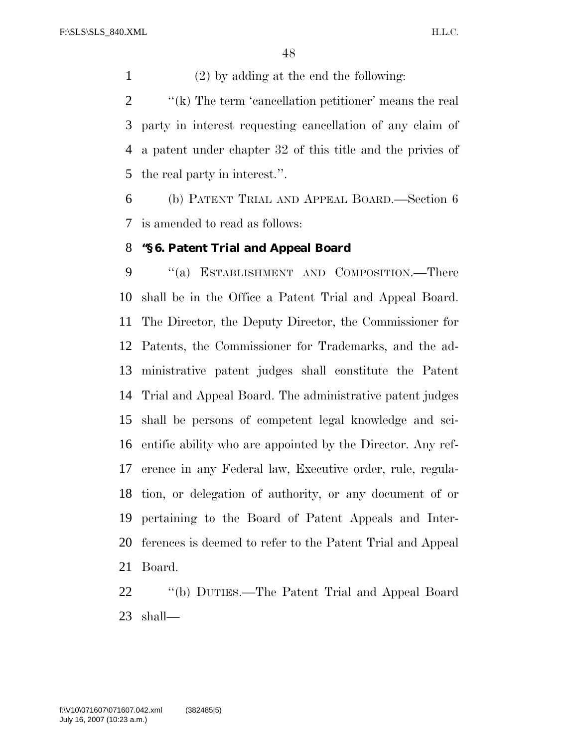(2) by adding at the end the following:

2 ''(k) The term 'cancellation petitioner' means the real party in interest requesting cancellation of any claim of a patent under chapter 32 of this title and the privies of the real party in interest.''.

 (b) PATENT TRIAL AND APPEAL BOARD.—Section 6 is amended to read as follows:

#### **''§ 6. Patent Trial and Appeal Board**

9 "(a) ESTABLISHMENT AND COMPOSITION.—There shall be in the Office a Patent Trial and Appeal Board. The Director, the Deputy Director, the Commissioner for Patents, the Commissioner for Trademarks, and the ad- ministrative patent judges shall constitute the Patent Trial and Appeal Board. The administrative patent judges shall be persons of competent legal knowledge and sci- entific ability who are appointed by the Director. Any ref- erence in any Federal law, Executive order, rule, regula- tion, or delegation of authority, or any document of or pertaining to the Board of Patent Appeals and Inter- ferences is deemed to refer to the Patent Trial and Appeal Board.

 ''(b) DUTIES.—The Patent Trial and Appeal Board shall—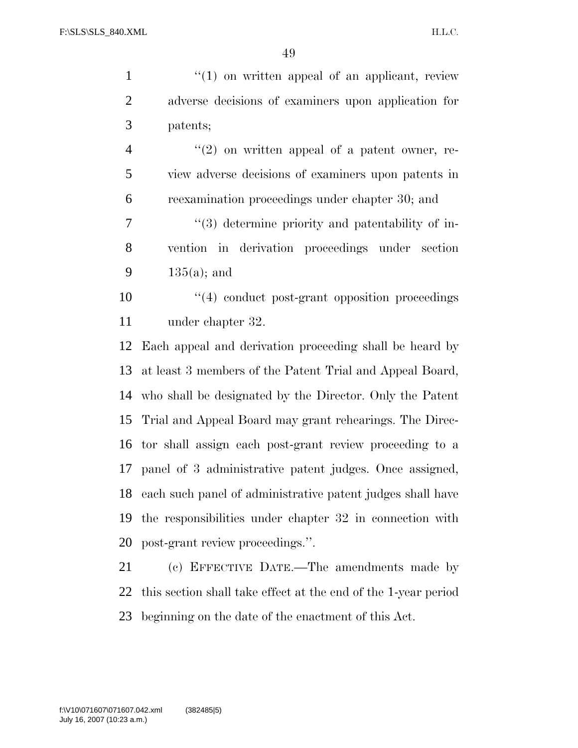| $\mathbf{1}$   | $\lq(1)$ on written appeal of an applicant, review             |
|----------------|----------------------------------------------------------------|
| $\overline{2}$ | adverse decisions of examiners upon application for            |
| 3              | patents;                                                       |
| $\overline{4}$ | $(2)$ on written appeal of a patent owner, re-                 |
| 5              | view adverse decisions of examiners upon patents in            |
| 6              | reexamination proceedings under chapter 30; and                |
| 7              | "(3) determine priority and patentability of in-               |
| 8              | vention in derivation proceedings under section                |
| 9              | $135(a)$ ; and                                                 |
| 10             | $\cdot$ (4) conduct post-grant opposition proceedings          |
| 11             | under chapter 32.                                              |
| 12             | Each appeal and derivation proceeding shall be heard by        |
| 13             | at least 3 members of the Patent Trial and Appeal Board,       |
| 14             | who shall be designated by the Director. Only the Patent       |
| 15             | Trial and Appeal Board may grant rehearings. The Direc-        |
|                | 16 tor shall assign each post-grant review proceeding to a     |
|                | 17 panel of 3 administrative patent judges. Once assigned,     |
| 18             | each such panel of administrative patent judges shall have     |
| 19             | the responsibilities under chapter 32 in connection with       |
| 20             | post-grant review proceedings.".                               |
| 21             | (c) EFFECTIVE DATE.—The amendments made by                     |
| 22             | this section shall take effect at the end of the 1-year period |

beginning on the date of the enactment of this Act.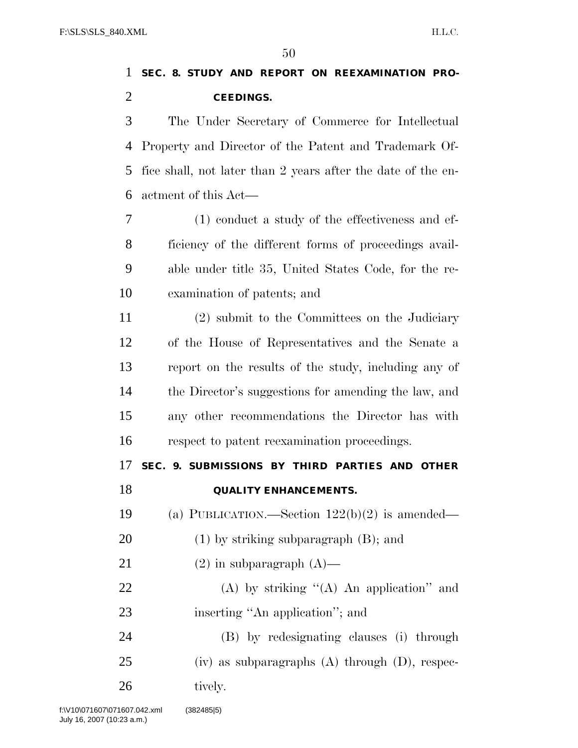# **SEC. 8. STUDY AND REPORT ON REEXAMINATION PRO-CEEDINGS.**

 The Under Secretary of Commerce for Intellectual Property and Director of the Patent and Trademark Of- fice shall, not later than 2 years after the date of the en-actment of this Act—

 (1) conduct a study of the effectiveness and ef- ficiency of the different forms of proceedings avail- able under title 35, United States Code, for the re-examination of patents; and

 (2) submit to the Committees on the Judiciary of the House of Representatives and the Senate a report on the results of the study, including any of the Director's suggestions for amending the law, and any other recommendations the Director has with respect to patent reexamination proceedings.

# **SEC. 9. SUBMISSIONS BY THIRD PARTIES AND OTHER QUALITY ENHANCEMENTS.**

(a) PUBLICATION.—Section 122(b)(2) is amended—

- (1) by striking subparagraph (B); and
- 21 (2) in subparagraph  $(A)$ —
- 22 (A) by striking  $(4)$  An application" and 23 inserting "An application"; and

 (B) by redesignating clauses (i) through (iv) as subparagraphs (A) through (D), respec-26 tively.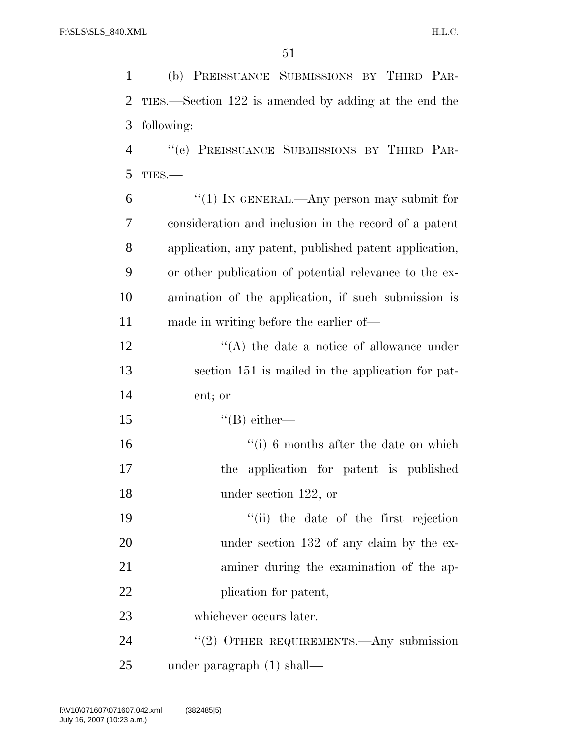(b) PREISSUANCE SUBMISSIONS BY THIRD PAR- TIES.—Section 122 is amended by adding at the end the following: ''(e) PREISSUANCE SUBMISSIONS BY THIRD PAR-

TIES.—

| 6              | "(1) IN GENERAL.—Any person may submit for             |
|----------------|--------------------------------------------------------|
| $\overline{7}$ | consideration and inclusion in the record of a patent  |
| 8              | application, any patent, published patent application, |
| 9              | or other publication of potential relevance to the ex- |
| 10             | amination of the application, if such submission is    |
| 11             | made in writing before the earlier of—                 |
| 12             | $\lq\lq$ the date a notice of allowance under          |
| 13             | section 151 is mailed in the application for pat-      |
| 14             | ent; or                                                |
| $\overline{ }$ |                                                        |

15  $"$ (B) either—

 ''(i) 6 months after the date on which the application for patent is published 18 under section 122, or

 ''(ii) the date of the first rejection 20 under section 132 of any claim by the ex- aminer during the examination of the ap-22 plication for patent,

whichever occurs later.

24 "(2) OTHER REQUIREMENTS.—Any submission under paragraph (1) shall—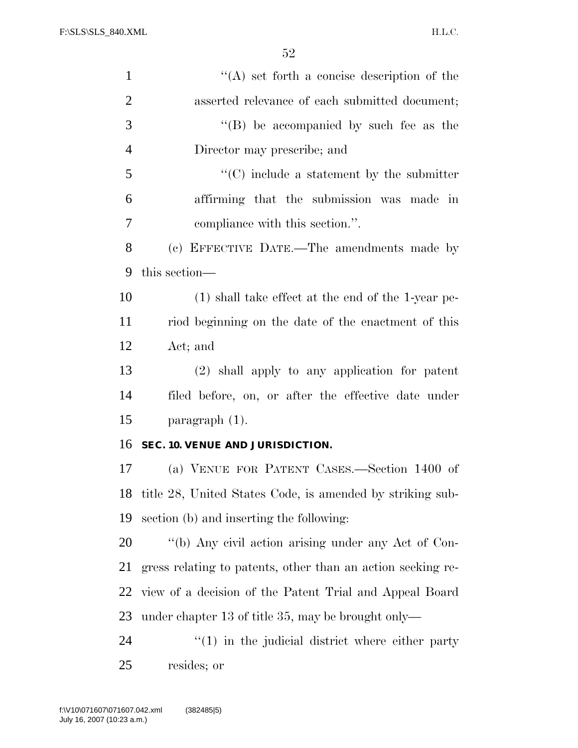H.L.C.

| $\mathbf{1}$   | $\cdot$ (A) set forth a concise description of the          |
|----------------|-------------------------------------------------------------|
| $\overline{2}$ | asserted relevance of each submitted document;              |
| 3              | $\lq\lq$ be accompanied by such fee as the                  |
| $\overline{4}$ | Director may prescribe; and                                 |
| 5              | $\lq\lq$ include a statement by the submitter               |
| 6              | affirming that the submission was made in                   |
| 7              | compliance with this section.".                             |
| 8              | (c) EFFECTIVE DATE.—The amendments made by                  |
| 9              | this section—                                               |
| 10             | $(1)$ shall take effect at the end of the 1-year pe-        |
| 11             | riod beginning on the date of the enactment of this         |
| 12             | Act; and                                                    |
| 13             | (2) shall apply to any application for patent               |
| 14             | filed before, on, or after the effective date under         |
| 15             | paragraph $(1)$ .                                           |
| 16             | SEC. 10. VENUE AND JURISDICTION.                            |
| 17             | (a) VENUE FOR PATENT CASES.—Section 1400 of                 |
| 18             | title 28, United States Code, is amended by striking sub-   |
| 19             | section (b) and inserting the following:                    |
| 20             | "(b) Any civil action arising under any Act of Con-         |
| 21             | gress relating to patents, other than an action seeking re- |
| 22             | view of a decision of the Patent Trial and Appeal Board     |
| 23             | under chapter 13 of title 35, may be brought only—          |
| 24             | $\lq(1)$ in the judicial district where either party        |
| 25             | resides; or                                                 |
|                |                                                             |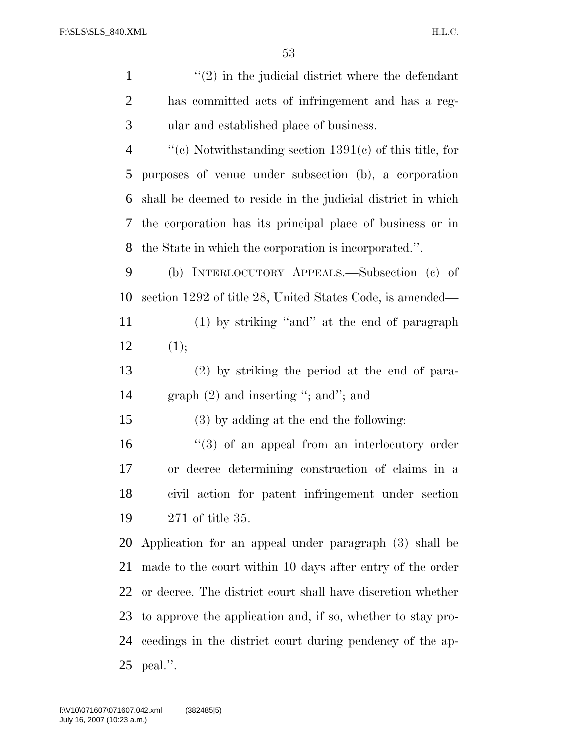H.L.C.

| $\mathbf{1}$   | $\lq(2)$ in the judicial district where the defendant       |
|----------------|-------------------------------------------------------------|
| $\overline{2}$ | has committed acts of infringement and has a reg-           |
| 3              | ular and established place of business.                     |
| $\overline{4}$ | "(c) Notwithstanding section $1391(c)$ of this title, for   |
| 5              | purposes of venue under subsection (b), a corporation       |
| 6              | shall be deemed to reside in the judicial district in which |
| 7              | the corporation has its principal place of business or in   |
| 8              | the State in which the corporation is incorporated.".       |
| 9              | (b) INTERLOCUTORY APPEALS.—Subsection (c) of                |
| 10             | section 1292 of title 28, United States Code, is amended—   |
| 11             | (1) by striking "and" at the end of paragraph               |
| 12             | (1);                                                        |
| 13             | $(2)$ by striking the period at the end of para-            |
| 14             | graph $(2)$ and inserting "; and"; and                      |
| 15             | (3) by adding at the end the following:                     |
| 16             | $(3)$ of an appeal from an interlocutory order              |
| 17             | or decree determining construction of claims in a           |
| 18             | civil action for patent infringement under section          |
| 19             | 271 of title 35.                                            |
| 20             | Application for an appeal under paragraph (3) shall be      |
| 21             | made to the court within 10 days after entry of the order   |
| 22             | or decree. The district court shall have discretion whether |
| 23             | to approve the application and, if so, whether to stay pro- |
| 24             | ceedings in the district court during pendency of the ap-   |
| 25             | peal.".                                                     |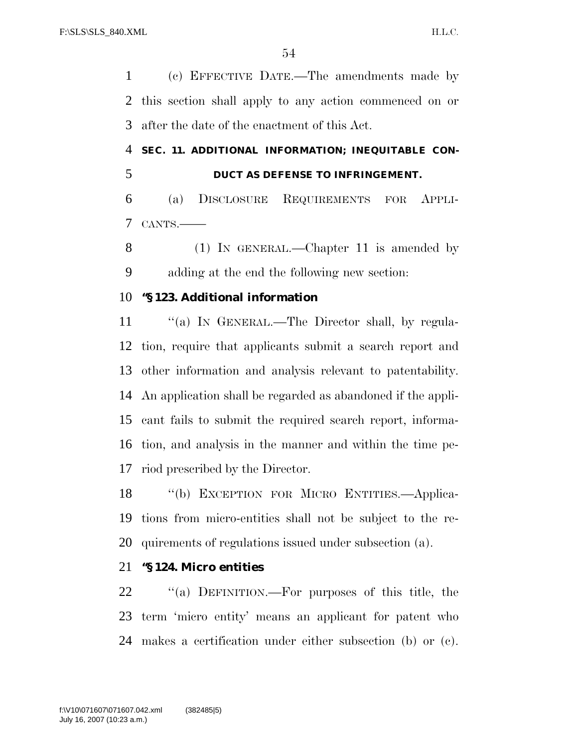(c) EFFECTIVE DATE.—The amendments made by this section shall apply to any action commenced on or after the date of the enactment of this Act.

 **SEC. 11. ADDITIONAL INFORMATION; INEQUITABLE CON-DUCT AS DEFENSE TO INFRINGEMENT.** 

 (a) DISCLOSURE REQUIREMENTS FOR APPLI-CANTS.——

8 (1) IN GENERAL.—Chapter 11 is amended by adding at the end the following new section:

#### **''§ 123. Additional information**

11 "(a) IN GENERAL.—The Director shall, by regula- tion, require that applicants submit a search report and other information and analysis relevant to patentability. An application shall be regarded as abandoned if the appli- cant fails to submit the required search report, informa- tion, and analysis in the manner and within the time pe-riod prescribed by the Director.

 ''(b) EXCEPTION FOR MICRO ENTITIES.—Applica- tions from micro-entities shall not be subject to the re-quirements of regulations issued under subsection (a).

## **''§ 124. Micro entities**

 ''(a) DEFINITION.—For purposes of this title, the term 'micro entity' means an applicant for patent who makes a certification under either subsection (b) or (c).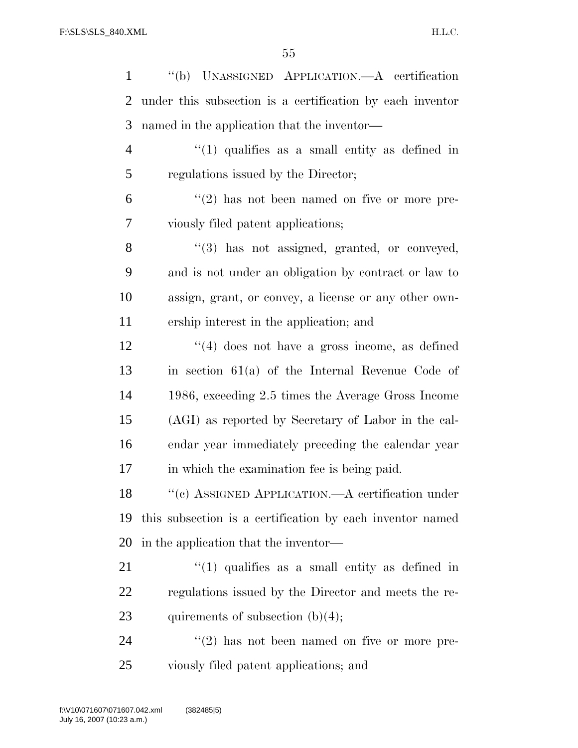| $\mathbf{1}$   | "(b) UNASSIGNED APPLICATION.—A certification              |
|----------------|-----------------------------------------------------------|
| 2              | under this subsection is a certification by each inventor |
| 3              | named in the application that the inventor—               |
| $\overline{4}$ | $\lq(1)$ qualifies as a small entity as defined in        |
| 5              | regulations issued by the Director;                       |
| 6              | $\lq(2)$ has not been named on five or more pre-          |
| 7              | viously filed patent applications;                        |
| 8              | "(3) has not assigned, granted, or conveyed,              |
| 9              | and is not under an obligation by contract or law to      |
| 10             | assign, grant, or convey, a license or any other own-     |
| 11             | ership interest in the application; and                   |
| 12             | $\lq(4)$ does not have a gross income, as defined         |
| 13             | in section $61(a)$ of the Internal Revenue Code of        |
| 14             | 1986, exceeding 2.5 times the Average Gross Income        |
| 15             | (AGI) as reported by Secretary of Labor in the cal-       |
| 16             | endar year immediately preceding the calendar year        |
| 17             | in which the examination fee is being paid.               |
| 18             | "(c) ASSIGNED APPLICATION.—A certification under          |
| 19             | this subsection is a certification by each inventor named |
| 20             | in the application that the inventor—                     |
| 21             | $"(1)$ qualifies as a small entity as defined in          |
| <u>22</u>      | regulations issued by the Director and meets the re-      |
| 23             | quirements of subsection $(b)(4)$ ;                       |
| 24             | $\lq(2)$ has not been named on five or more pre-          |
| 25             | viously filed patent applications; and                    |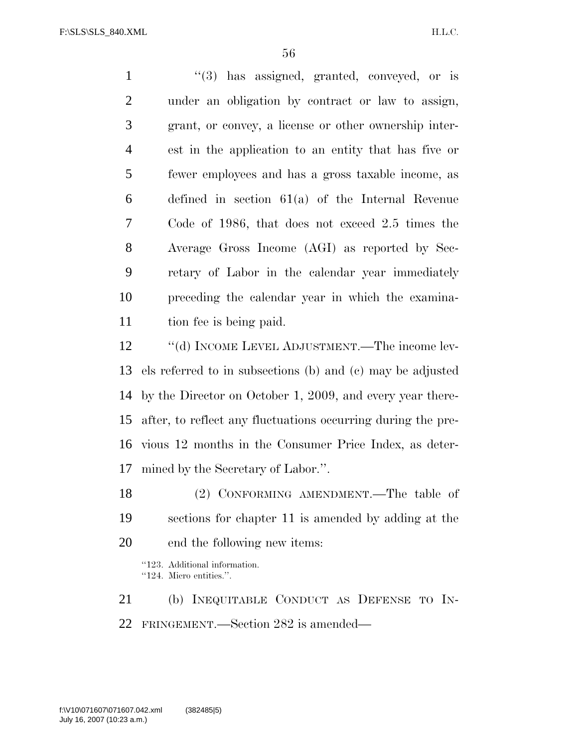1 ''(3) has assigned, granted, conveyed, or is under an obligation by contract or law to assign, grant, or convey, a license or other ownership inter- est in the application to an entity that has five or fewer employees and has a gross taxable income, as defined in section 61(a) of the Internal Revenue Code of 1986, that does not exceed 2.5 times the Average Gross Income (AGI) as reported by Sec- retary of Labor in the calendar year immediately preceding the calendar year in which the examina-tion fee is being paid.

12 "(d) INCOME LEVEL ADJUSTMENT.—The income lev- els referred to in subsections (b) and (c) may be adjusted by the Director on October 1, 2009, and every year there- after, to reflect any fluctuations occurring during the pre- vious 12 months in the Consumer Price Index, as deter-mined by the Secretary of Labor.''.

 (2) CONFORMING AMENDMENT.—The table of sections for chapter 11 is amended by adding at the end the following new items:

''123. Additional information. ''124. Micro entities.''.

 (b) INEQUITABLE CONDUCT AS DEFENSE TO IN-FRINGEMENT.—Section 282 is amended—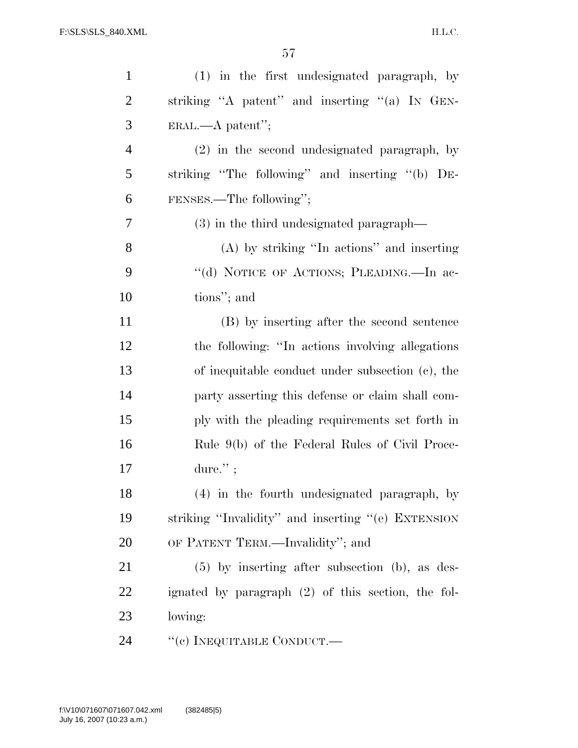| $\mathbf{1}$   | (1) in the first undesignated paragraph, by        |
|----------------|----------------------------------------------------|
| $\overline{2}$ | striking "A patent" and inserting "(a) IN GEN-     |
| 3              | $ERAL. - A patent'';$                              |
| $\overline{4}$ | (2) in the second undesignated paragraph, by       |
| 5              | striking "The following" and inserting "(b) DE-    |
| 6              | FENSES.—The following";                            |
| 7              | (3) in the third undesignated paragraph—           |
| 8              | $(A)$ by striking "In actions" and inserting       |
| 9              | "(d) NOTICE OF ACTIONS; PLEADING.—In ac-           |
| 10             | tions"; and                                        |
| 11             | (B) by inserting after the second sentence         |
| 12             | the following: "In actions involving allegations"  |
| 13             | of inequitable conduct under subsection (c), the   |
| 14             | party asserting this defense or claim shall com-   |
| 15             | ply with the pleading requirements set forth in    |
| 16             | Rule 9(b) of the Federal Rules of Civil Proce-     |
| 17             | dure. $"$ ;                                        |
| 18             | (4) in the fourth undesignated paragraph, by       |
| 19             | striking "Invalidity" and inserting "(e) EXTENSION |
| 20             | OF PATENT TERM.—Invalidity"; and                   |
| 21             | $(5)$ by inserting after subsection (b), as des-   |
| 22             | ignated by paragraph (2) of this section, the fol- |
| 23             | lowing:                                            |
| 24             | "(c) INEQUITABLE CONDUCT.—                         |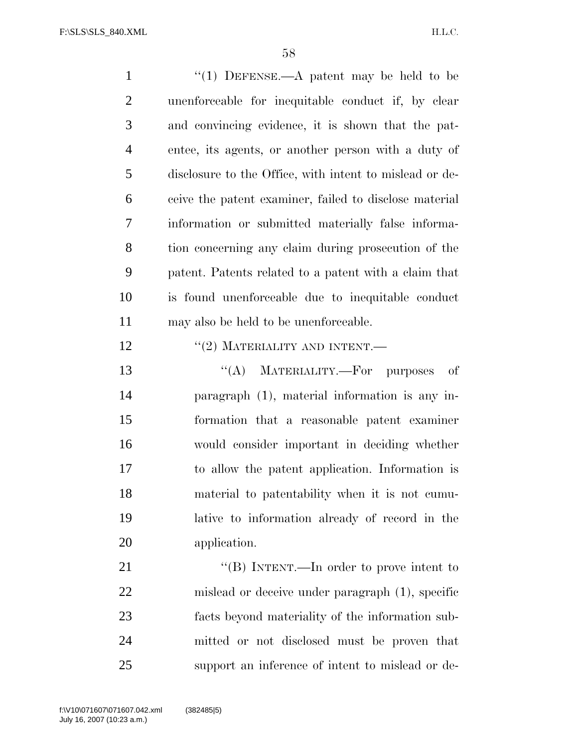1 "(1) DEFENSE.—A patent may be held to be unenforceable for inequitable conduct if, by clear and convincing evidence, it is shown that the pat- entee, its agents, or another person with a duty of disclosure to the Office, with intent to mislead or de- ceive the patent examiner, failed to disclose material information or submitted materially false informa- tion concerning any claim during prosecution of the patent. Patents related to a patent with a claim that is found unenforceable due to inequitable conduct may also be held to be unenforceable.  $\text{``(2)}$  MATERIALITY AND INTENT.— 13 "(A) MATERIALITY.—For purposes of paragraph (1), material information is any in- formation that a reasonable patent examiner would consider important in deciding whether to allow the patent application. Information is material to patentability when it is not cumu- lative to information already of record in the application. 21 "'(B) INTENT.—In order to prove intent to mislead or deceive under paragraph (1), specific facts beyond materiality of the information sub-

mitted or not disclosed must be proven that

support an inference of intent to mislead or de-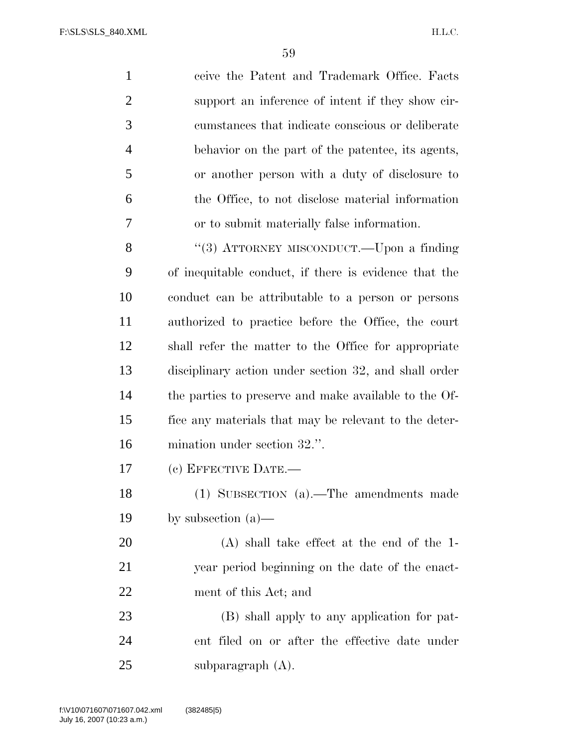ceive the Patent and Trademark Office. Facts support an inference of intent if they show cir- cumstances that indicate conscious or deliberate behavior on the part of the patentee, its agents, or another person with a duty of disclosure to the Office, to not disclose material information or to submit materially false information. 8 "(3) ATTORNEY MISCONDUCT.—Upon a finding of inequitable conduct, if there is evidence that the conduct can be attributable to a person or persons authorized to practice before the Office, the court shall refer the matter to the Office for appropriate disciplinary action under section 32, and shall order the parties to preserve and make available to the Of- fice any materials that may be relevant to the deter- mination under section 32.''. (c) EFFECTIVE DATE.— (1) SUBSECTION (a).—The amendments made by subsection (a)—

 (A) shall take effect at the end of the 1- year period beginning on the date of the enact-ment of this Act; and

 (B) shall apply to any application for pat- ent filed on or after the effective date under subparagraph (A).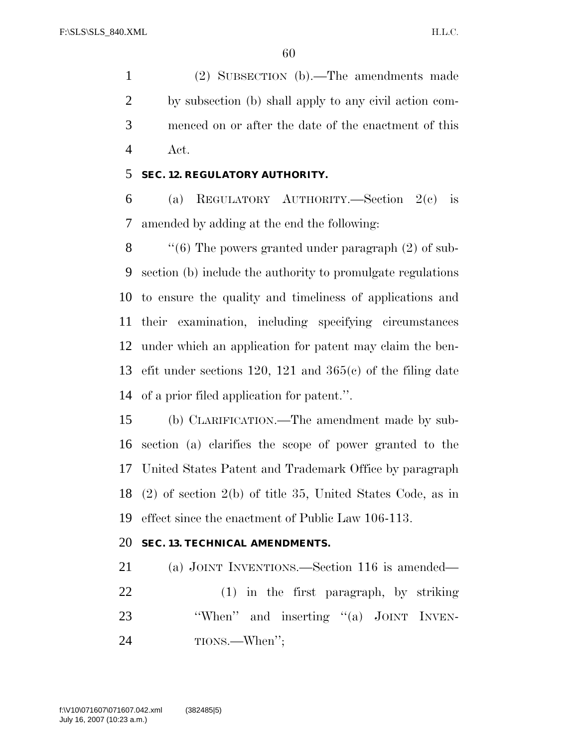(2) SUBSECTION (b).—The amendments made by subsection (b) shall apply to any civil action com- menced on or after the date of the enactment of this Act.

#### **SEC. 12. REGULATORY AUTHORITY.**

 (a) REGULATORY AUTHORITY.—Section 2(c) is amended by adding at the end the following:

 $\langle$  (6) The powers granted under paragraph (2) of sub- section (b) include the authority to promulgate regulations to ensure the quality and timeliness of applications and their examination, including specifying circumstances under which an application for patent may claim the ben- efit under sections 120, 121 and 365(c) of the filing date of a prior filed application for patent.''.

 (b) CLARIFICATION.—The amendment made by sub- section (a) clarifies the scope of power granted to the United States Patent and Trademark Office by paragraph (2) of section 2(b) of title 35, United States Code, as in effect since the enactment of Public Law 106-113.

## **SEC. 13. TECHNICAL AMENDMENTS.**

 (a) JOINT INVENTIONS.—Section 116 is amended— (1) in the first paragraph, by striking 23 "When" and inserting "(a) JOINT INVEN-TIONS.—When'';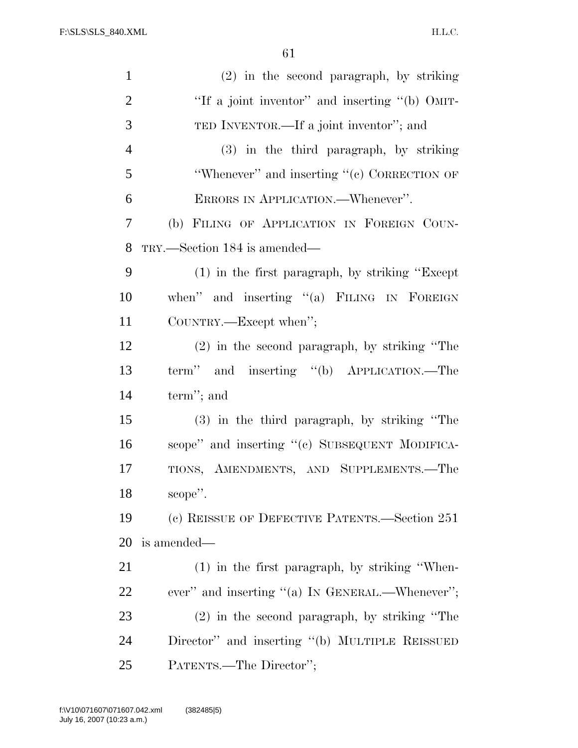| $\mathbf{1}$   | $(2)$ in the second paragraph, by striking         |
|----------------|----------------------------------------------------|
| $\overline{2}$ | "If a joint inventor" and inserting "(b) OMIT-     |
| 3              | TED INVENTOR.—If a joint inventor"; and            |
| $\overline{4}$ | (3) in the third paragraph, by striking            |
| 5              | "Whenever" and inserting "(c) CORRECTION OF        |
| 6              | ERRORS IN APPLICATION.—Whenever".                  |
| 7              | (b) FILING OF APPLICATION IN FOREIGN COUN-         |
| 8              | TRY.—Section 184 is amended—                       |
| 9              | $(1)$ in the first paragraph, by striking "Except" |
| 10             | when" and inserting "(a) FILING IN FOREIGN         |
| 11             | COUNTRY.—Except when";                             |
| 12             | $(2)$ in the second paragraph, by striking "The    |
| 13             | term" and inserting "(b) APPLICATION.—The          |
| 14             | term"; and                                         |
| 15             | (3) in the third paragraph, by striking "The       |
| 16             | scope" and inserting "(c) SUBSEQUENT MODIFICA-     |
| 17             | TIONS, AMENDMENTS, AND SUPPLEMENTS.-The            |
| 18             | scope".                                            |
| 19             | (c) REISSUE OF DEFECTIVE PATENTS.—Section 251      |
| 20             | is amended—                                        |
| 21             | $(1)$ in the first paragraph, by striking "When-   |
| 22             | ever" and inserting "(a) IN GENERAL.—Whenever";    |
| 23             | $(2)$ in the second paragraph, by striking "The    |
| 24             | Director" and inserting "(b) MULTIPLE REISSUED     |
| 25             | PATENTS.—The Director";                            |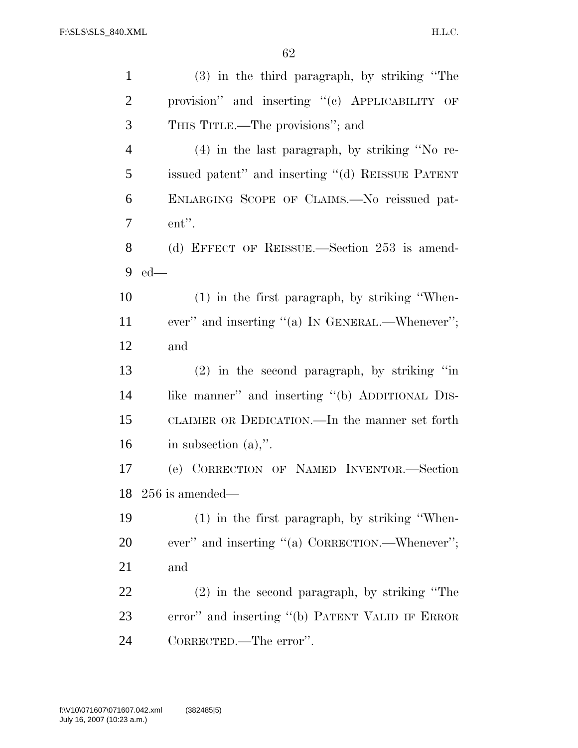| $\mathbf{1}$   | (3) in the third paragraph, by striking "The     |
|----------------|--------------------------------------------------|
| $\overline{2}$ | provision" and inserting "(c) APPLICABILITY OF   |
| 3              | THIS TITLE.—The provisions"; and                 |
| $\overline{4}$ | (4) in the last paragraph, by striking "No re-   |
| 5              | issued patent" and inserting "(d) REISSUE PATENT |
| 6              | ENLARGING SCOPE OF CLAIMS.—No reissued pat-      |
| $\overline{7}$ | ent".                                            |
| 8              | (d) EFFECT OF REISSUE.—Section 253 is amend-     |
| 9              | $ed$ —                                           |
| 10             | $(1)$ in the first paragraph, by striking "When- |
| 11             | ever" and inserting "(a) IN GENERAL.—Whenever";  |
| 12             | and                                              |
|                |                                                  |
| 13             | $(2)$ in the second paragraph, by striking "in   |
| 14             | like manner" and inserting "(b) ADDITIONAL DIS-  |
| 15             | CLAIMER OR DEDICATION.—In the manner set forth   |
| 16             | in subsection $(a)$ ,".                          |
| 17             | (e) CORRECTION OF NAMED INVENTOR.-Section        |
|                | $18$ $256$ is amended—                           |
| 19             | (1) in the first paragraph, by striking "When-   |
| 20             | ever" and inserting "(a) CORRECTION.—Whenever";  |
| 21             | and                                              |
| 22             | $(2)$ in the second paragraph, by striking "The  |
| 23             | error" and inserting "(b) PATENT VALID IF ERROR  |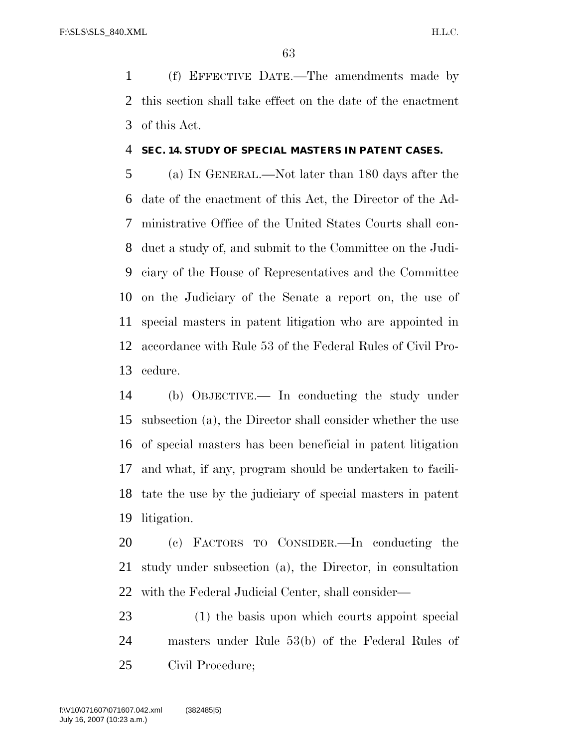(f) EFFECTIVE DATE.—The amendments made by this section shall take effect on the date of the enactment of this Act.

#### **SEC. 14. STUDY OF SPECIAL MASTERS IN PATENT CASES.**

 (a) IN GENERAL.—Not later than 180 days after the date of the enactment of this Act, the Director of the Ad- ministrative Office of the United States Courts shall con- duct a study of, and submit to the Committee on the Judi- ciary of the House of Representatives and the Committee on the Judiciary of the Senate a report on, the use of special masters in patent litigation who are appointed in accordance with Rule 53 of the Federal Rules of Civil Pro-cedure.

 (b) OBJECTIVE.— In conducting the study under subsection (a), the Director shall consider whether the use of special masters has been beneficial in patent litigation and what, if any, program should be undertaken to facili- tate the use by the judiciary of special masters in patent litigation.

 (c) FACTORS TO CONSIDER.—In conducting the study under subsection (a), the Director, in consultation with the Federal Judicial Center, shall consider—

 (1) the basis upon which courts appoint special masters under Rule 53(b) of the Federal Rules of Civil Procedure;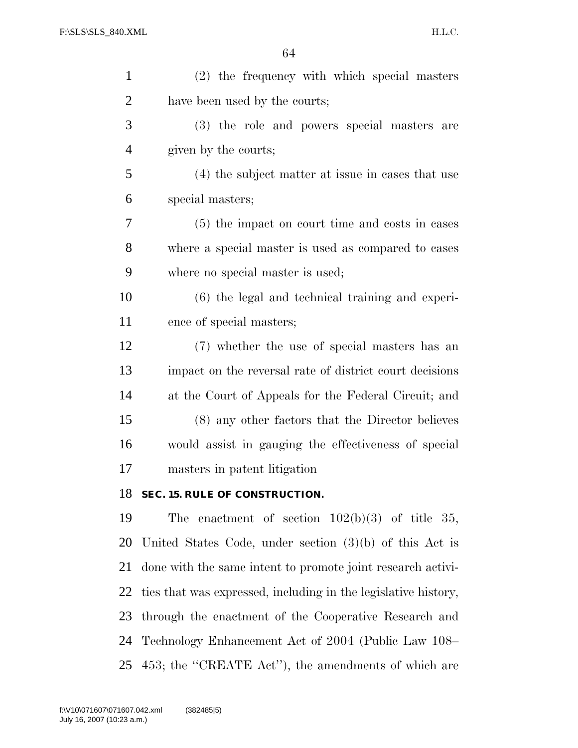| $\mathbf{1}$   | (2) the frequency with which special masters                   |
|----------------|----------------------------------------------------------------|
| $\overline{2}$ | have been used by the courts;                                  |
| 3              | (3) the role and powers special masters are                    |
| $\overline{4}$ | given by the courts;                                           |
| 5              | (4) the subject matter at issue in cases that use              |
| 6              | special masters;                                               |
| 7              | (5) the impact on court time and costs in cases                |
| 8              | where a special master is used as compared to cases            |
| 9              | where no special master is used;                               |
| 10             | $(6)$ the legal and technical training and experi-             |
| 11             | ence of special masters;                                       |
| 12             | (7) whether the use of special masters has an                  |
| 13             | impact on the reversal rate of district court decisions        |
| 14             | at the Court of Appeals for the Federal Circuit; and           |
| 15             | (8) any other factors that the Director believes               |
| 16             | would assist in gauging the effectiveness of special           |
| 17             | masters in patent litigation                                   |
| 18             | SEC. 15. RULE OF CONSTRUCTION.                                 |
| 19             | The enactment of section $102(b)(3)$ of title 35,              |
| 20             | United States Code, under section $(3)(b)$ of this Act is      |
| 21             | done with the same intent to promote joint research activi-    |
| 22             | ties that was expressed, including in the legislative history, |
| 23             | through the enactment of the Cooperative Research and          |
| 24             | Technology Enhancement Act of 2004 (Public Law 108–            |

453; the ''CREATE Act''), the amendments of which are